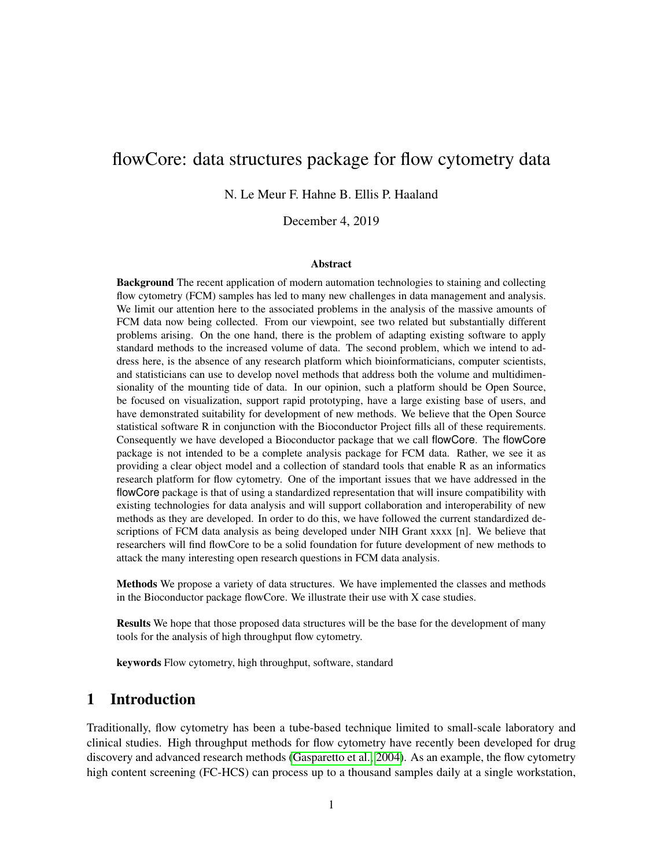# flowCore: data structures package for flow cytometry data

N. Le Meur F. Hahne B. Ellis P. Haaland

December 4, 2019

#### Abstract

Background The recent application of modern automation technologies to staining and collecting flow cytometry (FCM) samples has led to many new challenges in data management and analysis. We limit our attention here to the associated problems in the analysis of the massive amounts of FCM data now being collected. From our viewpoint, see two related but substantially different problems arising. On the one hand, there is the problem of adapting existing software to apply standard methods to the increased volume of data. The second problem, which we intend to address here, is the absence of any research platform which bioinformaticians, computer scientists, and statisticians can use to develop novel methods that address both the volume and multidimensionality of the mounting tide of data. In our opinion, such a platform should be Open Source, be focused on visualization, support rapid prototyping, have a large existing base of users, and have demonstrated suitability for development of new methods. We believe that the Open Source statistical software R in conjunction with the Bioconductor Project fills all of these requirements. Consequently we have developed a Bioconductor package that we call flowCore. The flowCore package is not intended to be a complete analysis package for FCM data. Rather, we see it as providing a clear object model and a collection of standard tools that enable R as an informatics research platform for flow cytometry. One of the important issues that we have addressed in the flowCore package is that of using a standardized representation that will insure compatibility with existing technologies for data analysis and will support collaboration and interoperability of new methods as they are developed. In order to do this, we have followed the current standardized descriptions of FCM data analysis as being developed under NIH Grant xxxx [n]. We believe that researchers will find flowCore to be a solid foundation for future development of new methods to attack the many interesting open research questions in FCM data analysis.

Methods We propose a variety of data structures. We have implemented the classes and methods in the Bioconductor package flowCore. We illustrate their use with X case studies.

Results We hope that those proposed data structures will be the base for the development of many tools for the analysis of high throughput flow cytometry.

keywords Flow cytometry, high throughput, software, standard

# 1 Introduction

Traditionally, flow cytometry has been a tube-based technique limited to small-scale laboratory and clinical studies. High throughput methods for flow cytometry have recently been developed for drug discovery and advanced research methods [\(Gasparetto et al., 2004\)](#page-38-0). As an example, the flow cytometry high content screening (FC-HCS) can process up to a thousand samples daily at a single workstation,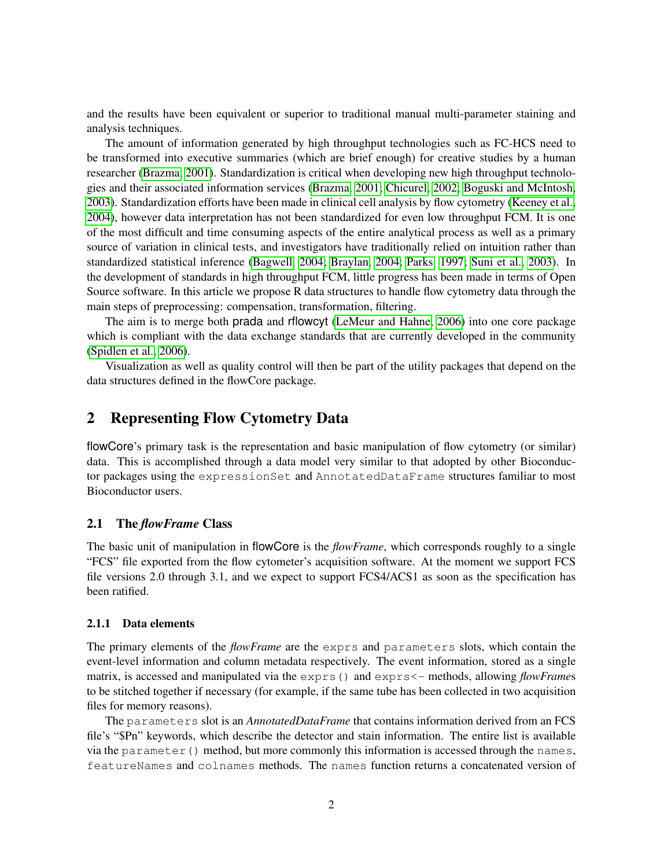and the results have been equivalent or superior to traditional manual multi-parameter staining and analysis techniques.

The amount of information generated by high throughput technologies such as FC-HCS need to be transformed into executive summaries (which are brief enough) for creative studies by a human researcher [\(Brazma, 2001\)](#page-38-1). Standardization is critical when developing new high throughput technologies and their associated information services [\(Brazma, 2001;](#page-38-1) [Chicurel, 2002;](#page-38-2) [Boguski and McIntosh,](#page-38-3) [2003\)](#page-38-3). Standardization efforts have been made in clinical cell analysis by flow cytometry [\(Keeney et al.,](#page-38-4) [2004\)](#page-38-4), however data interpretation has not been standardized for even low throughput FCM. It is one of the most difficult and time consuming aspects of the entire analytical process as well as a primary source of variation in clinical tests, and investigators have traditionally relied on intuition rather than standardized statistical inference [\(Bagwell, 2004;](#page-38-5) [Braylan, 2004;](#page-38-6) [Parks, 1997;](#page-38-7) [Suni et al., 2003\)](#page-38-8). In the development of standards in high throughput FCM, little progress has been made in terms of Open Source software. In this article we propose R data structures to handle flow cytometry data through the main steps of preprocessing: compensation, transformation, filtering.

The aim is to merge both prada and rflowcyt [\(LeMeur and Hahne, 2006\)](#page-38-9) into one core package which is compliant with the data exchange standards that are currently developed in the community [\(Spidlen et al., 2006\)](#page-38-10).

Visualization as well as quality control will then be part of the utility packages that depend on the data structures defined in the flowCore package.

# 2 Representing Flow Cytometry Data

flowCore's primary task is the representation and basic manipulation of flow cytometry (or similar) data. This is accomplished through a data model very similar to that adopted by other Bioconductor packages using the expressionSet and AnnotatedDataFrame structures familiar to most Bioconductor users.

### 2.1 The *flowFrame* Class

The basic unit of manipulation in flowCore is the *flowFrame*, which corresponds roughly to a single "FCS" file exported from the flow cytometer's acquisition software. At the moment we support FCS file versions 2.0 through 3.1, and we expect to support FCS4/ACS1 as soon as the specification has been ratified.

#### 2.1.1 Data elements

The primary elements of the *flowFrame* are the exprs and parameters slots, which contain the event-level information and column metadata respectively. The event information, stored as a single matrix, is accessed and manipulated via the exprs() and exprs<- methods, allowing *flowFrame*s to be stitched together if necessary (for example, if the same tube has been collected in two acquisition files for memory reasons).

The parameters slot is an *AnnotatedDataFrame* that contains information derived from an FCS file's "\$Pn" keywords, which describe the detector and stain information. The entire list is available via the parameter() method, but more commonly this information is accessed through the names, featureNames and colnames methods. The names function returns a concatenated version of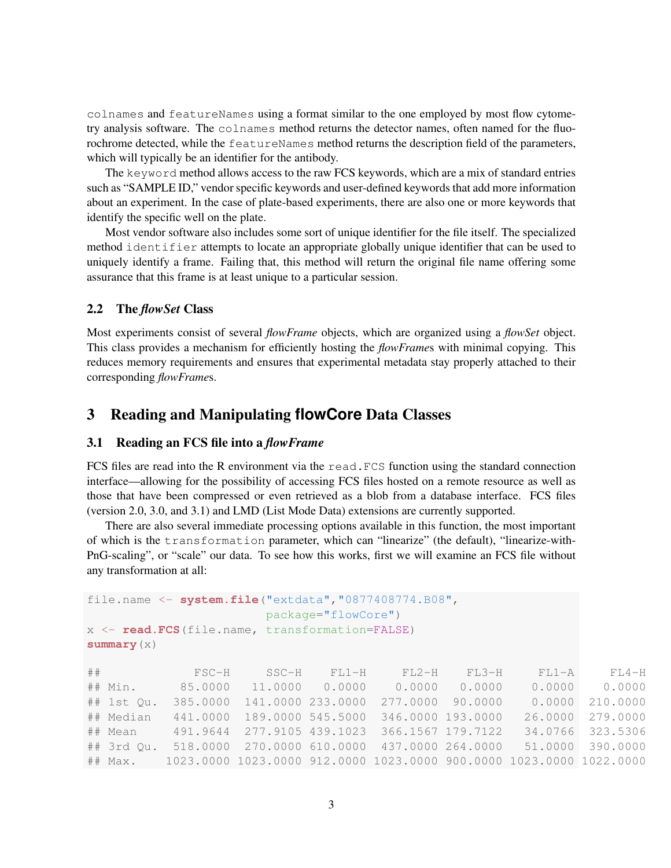colnames and featureNames using a format similar to the one employed by most flow cytometry analysis software. The colnames method returns the detector names, often named for the fluorochrome detected, while the featureNames method returns the description field of the parameters, which will typically be an identifier for the antibody.

The keyword method allows access to the raw FCS keywords, which are a mix of standard entries such as "SAMPLE ID," vendor specific keywords and user-defined keywords that add more information about an experiment. In the case of plate-based experiments, there are also one or more keywords that identify the specific well on the plate.

Most vendor software also includes some sort of unique identifier for the file itself. The specialized method identifier attempts to locate an appropriate globally unique identifier that can be used to uniquely identify a frame. Failing that, this method will return the original file name offering some assurance that this frame is at least unique to a particular session.

### 2.2 The *flowSet* Class

Most experiments consist of several *flowFrame* objects, which are organized using a *flowSet* object. This class provides a mechanism for efficiently hosting the *flowFrame*s with minimal copying. This reduces memory requirements and ensures that experimental metadata stay properly attached to their corresponding *flowFrame*s.

# 3 Reading and Manipulating **flowCore** Data Classes

### 3.1 Reading an FCS file into a *flowFrame*

FCS files are read into the R environment via the read.FCS function using the standard connection interface—allowing for the possibility of accessing FCS files hosted on a remote resource as well as those that have been compressed or even retrieved as a blob from a database interface. FCS files (version 2.0, 3.0, and 3.1) and LMD (List Mode Data) extensions are currently supported.

There are also several immediate processing options available in this function, the most important of which is the transformation parameter, which can "linearize" (the default), "linearize-with-PnG-scaling", or "scale" our data. To see how this works, first we will examine an FCS file without any transformation at all:

```
file.name <- system.file("extdata","0877408774.B08",
                         package="flowCore")
x <- read.FCS(file.name, transformation=FALSE)
summary(x)
```

| ## Min.        |  | $85.0000$ $11.0000$ 0.0000 0.0000 0.0000                                        | $0.0000$ 0.0000   |                  |
|----------------|--|---------------------------------------------------------------------------------|-------------------|------------------|
| $\#$ # 1st Qu. |  | 385.0000 141.0000 233.0000 277.0000 90.0000                                     | $0.0000$ 210.0000 |                  |
|                |  | ## Median 441.0000 189.0000 545.5000 346.0000 193.0000                          |                   | 26.0000 279.0000 |
|                |  | ## Mean 491.9644 277.9105 439.1023 366.1567 179.7122                            |                   | 34.0766 323.5306 |
| ## 3rd Qu.     |  | 518.0000 270.0000 610.0000 437.0000 264.0000 51.0000 390.0000                   |                   |                  |
|                |  | ## Max.     1023.0000 1023.0000 912.0000 1023.0000 900.0000 1023.0000 1022.0000 |                   |                  |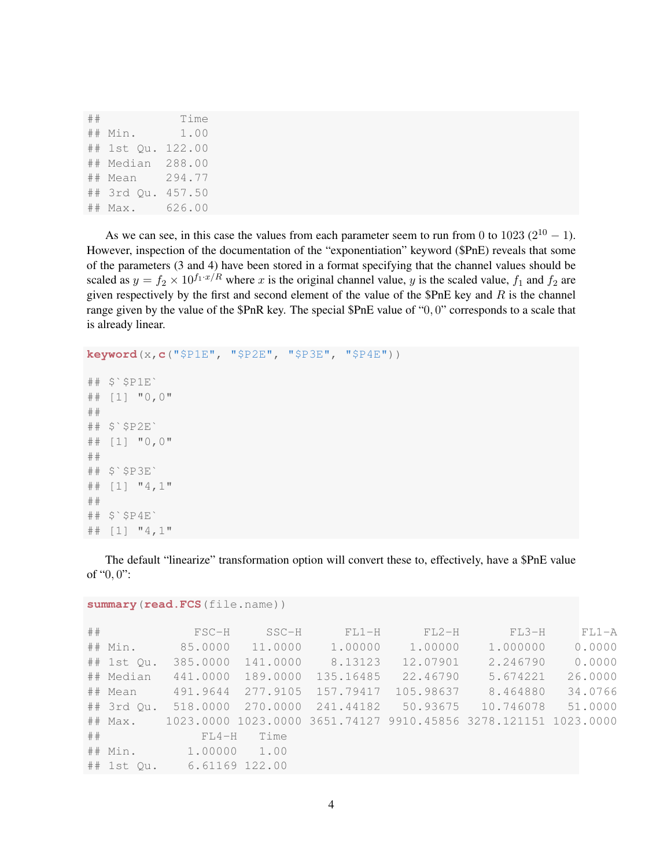| ## |             | Time   |
|----|-------------|--------|
|    | ## Min.     | 1.00   |
|    | ## 1st Qu.  | 122.00 |
|    | ## Median   | 288.00 |
|    | ## Mean     | 294.77 |
|    | ## 3rd Ou.  | 457.50 |
|    | $\#$ # Max. | 626.00 |

As we can see, in this case the values from each parameter seem to run from 0 to  $1023 (2^{10} – 1)$ . However, inspection of the documentation of the "exponentiation" keyword (\$PnE) reveals that some of the parameters (3 and 4) have been stored in a format specifying that the channel values should be scaled as  $y = f_2 \times 10^{f_1 \cdot x/R}$  where x is the original channel value, y is the scaled value,  $f_1$  and  $f_2$  are given respectively by the first and second element of the value of the \$PnE key and  $R$  is the channel range given by the value of the \$PnR key. The special \$PnE value of "0, 0" corresponds to a scale that is already linear.

```
keyword(x,c("$P1E", "$P2E", "$P3E", "$P4E"))
## $`$P1E`
## [1] "0,0"
##
## $`$P2E`
## [1] "0,0"
##
## $`$P3E`
## [1] "4,1"
##
## $`$P4E`
```
The default "linearize" transformation option will convert these to, effectively, have a \$PnE value of "0, 0":

```
summary(read.FCS(file.name))
```
## [1] "4,1"

| # # |            | FSC-H SSC-H               |      |                    |                                         | FL1-H FL2-H FL3-H                                                       | $FL1 - A$ |
|-----|------------|---------------------------|------|--------------------|-----------------------------------------|-------------------------------------------------------------------------|-----------|
|     |            |                           |      |                    | ## Min. 85.0000 11.0000 1.00000 1.00000 | 1,000000                                                                | 0.0000    |
|     | ## 1st Qu. | 385.0000                  |      | 141.0000 8.13123   | 12.07901                                | 2.246790                                                                | 0.0000    |
|     | ## Median  | 441.0000                  |      | 189.0000 135.16485 | 22.46790                                | 5.674221                                                                | 26.0000   |
|     |            |                           |      |                    |                                         | ## Mean 491.9644 277.9105 157.79417 105.98637 8.464880                  | 34.0766   |
|     | ## 3rd Qu. |                           |      |                    |                                         | 518.0000 270.0000 241.44182 50.93675 10.746078                          | 51.0000   |
|     |            |                           |      |                    |                                         | ## Max. 1023.0000 1023.0000 3651.74127 9910.45856 3278.121151 1023.0000 |           |
|     |            | $## \tFL4-H$              | Time |                    |                                         |                                                                         |           |
|     |            | ## Min. 1.00000 1.00      |      |                    |                                         |                                                                         |           |
|     |            | ## 1st Qu. 6.61169 122.00 |      |                    |                                         |                                                                         |           |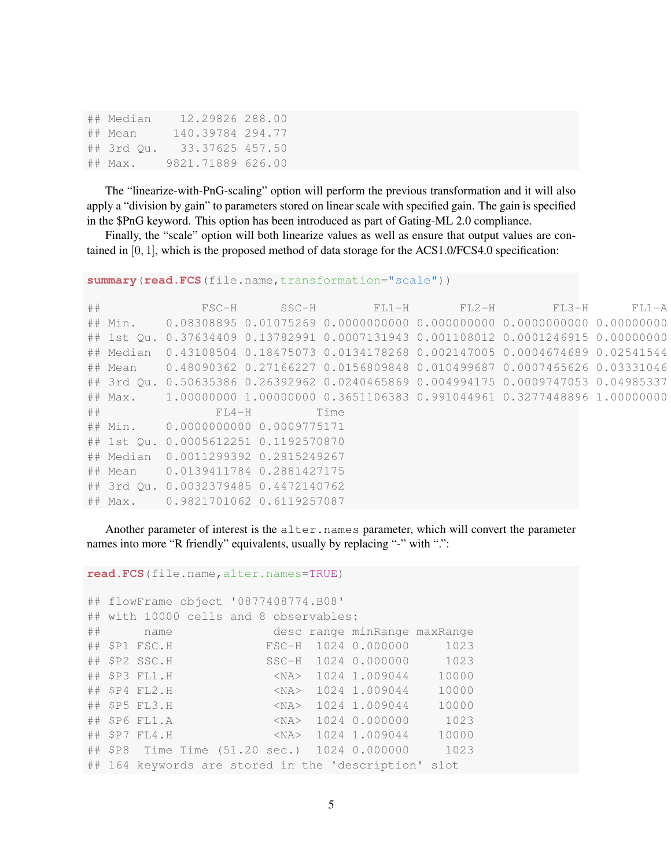| ## Median | 12.29826 288.00            |  |
|-----------|----------------------------|--|
| ## Mean   | 140.39784 294.77           |  |
|           | ## 3rd Ou. 33.37625 457.50 |  |
| ## Max.   | 9821.71889 626.00          |  |

The "linearize-with-PnG-scaling" option will perform the previous transformation and it will also apply a "division by gain" to parameters stored on linear scale with specified gain. The gain is specified in the \$PnG keyword. This option has been introduced as part of Gating-ML 2.0 compliance.

Finally, the "scale" option will both linearize values as well as ensure that output values are contained in [0, 1], which is the proposed method of data storage for the ACS1.0/FCS4.0 specification:

```
summary(read.FCS(file.name,transformation="scale"))
```

| ## |                | $\Gamma$ SC-H                        | $SSC-H$ | $FL1-H$ | $FL2-H$ | $FL3-H$                                                                           | $FL1 - A$ |
|----|----------------|--------------------------------------|---------|---------|---------|-----------------------------------------------------------------------------------|-----------|
|    | ## Min.        |                                      |         |         |         |                                                                                   |           |
|    |                |                                      |         |         |         | ## 1st Qu. 0.37634409 0.13782991 0.0007131943 0.001108012 0.0001246915 0.00000000 |           |
|    | ## Median      |                                      |         |         |         | 0.43108504 0.18475073 0.0134178268 0.002147005 0.0004674689 0.02541544            |           |
|    | ## Mean        |                                      |         |         |         | 0.48090362 0.27166227 0.0156809848 0.010499687 0.0007465626 0.03331046            |           |
|    |                |                                      |         |         |         | ## 3rd Qu. 0.50635386 0.26392962 0.0240465869 0.004994175 0.0009747053 0.04985337 |           |
|    | $\#$ $\#$ Max. |                                      |         |         |         | 1,00000000 1,00000000 0.3651106383 0.991044961 0.3277448896 1.00000000            |           |
| ## |                | $FL4-H$                              |         | Time    |         |                                                                                   |           |
|    |                | ## Min. 0.0000000000 0.0009775171    |         |         |         |                                                                                   |           |
|    |                | ## 1st Qu. 0.0005612251 0.1192570870 |         |         |         |                                                                                   |           |
|    | ## Median      | 0.0011299392 0.2815249267            |         |         |         |                                                                                   |           |
|    | ## Mean        | 0.0139411784 0.2881427175            |         |         |         |                                                                                   |           |
|    |                | ## 3rd Ou. 0.0032379485 0.4472140762 |         |         |         |                                                                                   |           |
|    | $\#$ # Max.    | 0.9821701062 0.6119257087            |         |         |         |                                                                                   |           |

Another parameter of interest is the alter.names parameter, which will convert the parameter names into more "R friendly" equivalents, usually by replacing "-" with ".":

```
read.FCS(file.name,alter.names=TRUE)
## flowFrame object '0877408774.B08'
## with 10000 cells and 8 observables:
## name desc range minRange maxRange
## $P1 FSC.H FSC-H 1024 0.000000 1023
## $P2 SSC.H SSC-H 1024 0.000000 1023
## $P3 FL1.H <NA> 1024 1.009044 10000
## $P4 FL2.H <NA> 1024 1.009044 10000
## $P5 FL3.H <NA> 1024 1.009044 10000
## $P6 FL1.A <NA> 1024 0.000000 1023
## $P7 FL4.H <NA> 1024 1.009044 10000
## $P8 Time Time (51.20 sec.) 1024 0.000000 1023
## 164 keywords are stored in the 'description' slot
```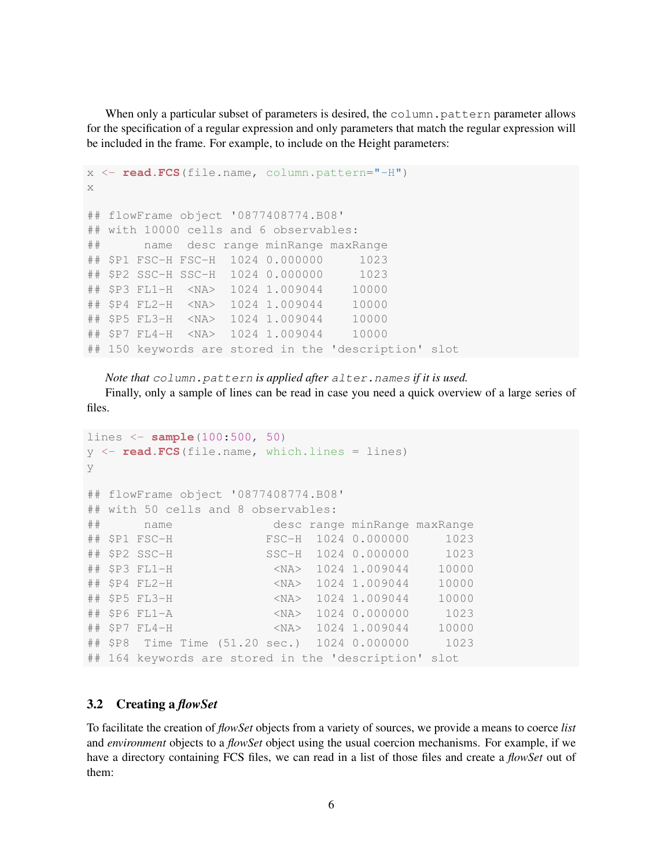When only a particular subset of parameters is desired, the column.pattern parameter allows for the specification of a regular expression and only parameters that match the regular expression will be included in the frame. For example, to include on the Height parameters:

```
x <- read.FCS(file.name, column.pattern="-H")
x
## flowFrame object '0877408774.B08'
## with 10000 cells and 6 observables:
## name desc range minRange maxRange
## $P1 FSC-H FSC-H 1024 0.000000 1023
## $P2 SSC-H SSC-H 1024 0.000000 1023
## $P3 FL1-H <NA> 1024 1.009044 10000
## $P4 FL2-H <NA> 1024 1.009044 10000
## $P5 FL3-H <NA> 1024 1.009044 10000
## $P7 FL4-H <NA> 1024 1.009044 10000
## 150 keywords are stored in the 'description' slot
```
*Note that* column.pattern *is applied after* alter.names *if it is used.*

Finally, only a sample of lines can be read in case you need a quick overview of a large series of files.

```
lines <- sample(100:500, 50)
y \leftarrow \text{read.FCS}(\text{file.name}, \text{which-lines} = \text{lines})y
## flowFrame object '0877408774.B08'
## with 50 cells and 8 observables:
## name desc range minRange maxRange
## $P1 FSC-H FSC-H 1024 0.000000 1023
## $P2 SSC-H SSC-H 1024 0.000000 1023
## $P3 FL1-H <NA> 1024 1.009044 10000
## $P4 FL2-H <NA> 1024 1.009044 10000
## $P5 FL3-H <NA> 1024 1.009044 10000
## $P6 FL1-A <NA> 1024 0.000000 1023
## $P7 FL4-H <NA> 1024 1.009044 10000
## $P8 Time Time (51.20 sec.) 1024 0.000000 1023
## 164 keywords are stored in the 'description' slot
```
# 3.2 Creating a *flowSet*

To facilitate the creation of *flowSet* objects from a variety of sources, we provide a means to coerce *list* and *environment* objects to a *flowSet* object using the usual coercion mechanisms. For example, if we have a directory containing FCS files, we can read in a list of those files and create a *flowSet* out of them: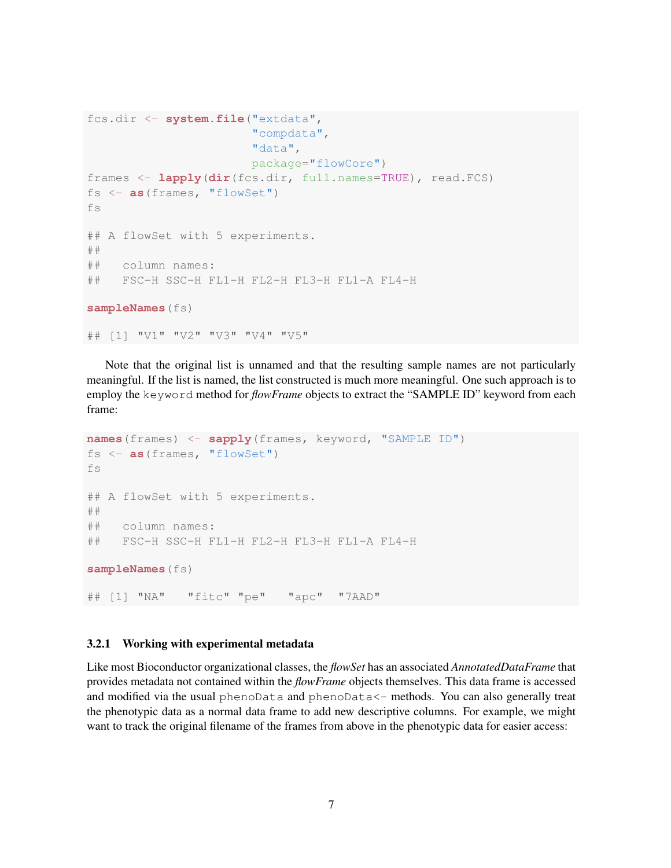```
fcs.dir <- system.file("extdata",
                       "compdata",
                       "data",
                       package="flowCore")
frames <- lapply(dir(fcs.dir, full.names=TRUE), read.FCS)
fs <- as(frames, "flowSet")
fs
## A flowSet with 5 experiments.
##
## column names:
## FSC-H SSC-H FL1-H FL2-H FL3-H FL1-A FL4-H
sampleNames(fs)
## [1] "V1" "V2" "V3" "V4" "V5"
```
Note that the original list is unnamed and that the resulting sample names are not particularly meaningful. If the list is named, the list constructed is much more meaningful. One such approach is to employ the keyword method for *flowFrame* objects to extract the "SAMPLE ID" keyword from each frame:

```
names(frames) <- sapply(frames, keyword, "SAMPLE ID")
fs <- as(frames, "flowSet")
fs
## A flowSet with 5 experiments.
##
## column names:
## FSC-H SSC-H FL1-H FL2-H FL3-H FL1-A FL4-H
sampleNames(fs)
## [1] "NA" "fitc" "pe" "apc" "7AAD"
```
### 3.2.1 Working with experimental metadata

Like most Bioconductor organizational classes, the *flowSet* has an associated *AnnotatedDataFrame* that provides metadata not contained within the *flowFrame* objects themselves. This data frame is accessed and modified via the usual phenoData and phenoData <- methods. You can also generally treat the phenotypic data as a normal data frame to add new descriptive columns. For example, we might want to track the original filename of the frames from above in the phenotypic data for easier access: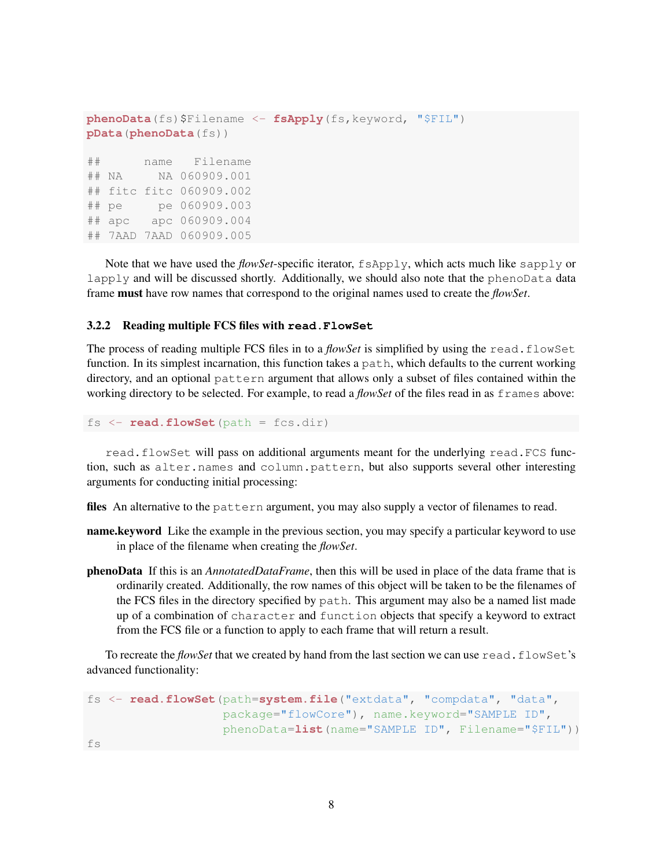```
phenoData(fs)$Filename <- fsApply(fs,keyword, "$FIL")
pData(phenoData(fs))
## name Filename
## NA NA 060909.001
## fitc fitc 060909.002
## pe pe 060909.003
## apc apc 060909.004
## 7AAD 7AAD 060909.005
```
Note that we have used the *flowSet*-specific iterator, fsApply, which acts much like sapply or lapply and will be discussed shortly. Additionally, we should also note that the phenoData data frame must have row names that correspond to the original names used to create the *flowSet*.

### 3.2.2 Reading multiple FCS files with **read.FlowSet**

The process of reading multiple FCS files in to a *flowSet* is simplified by using the read.flowSet function. In its simplest incarnation, this function takes a path, which defaults to the current working directory, and an optional pattern argument that allows only a subset of files contained within the working directory to be selected. For example, to read a *flowSet* of the files read in as frames above:

fs <- **read.flowSet**(path = fcs.dir)

read.flowSet will pass on additional arguments meant for the underlying read.FCS function, such as alter.names and column.pattern, but also supports several other interesting arguments for conducting initial processing:

files An alternative to the pattern argument, you may also supply a vector of filenames to read.

- name.keyword Like the example in the previous section, you may specify a particular keyword to use in place of the filename when creating the *flowSet*.
- phenoData If this is an *AnnotatedDataFrame*, then this will be used in place of the data frame that is ordinarily created. Additionally, the row names of this object will be taken to be the filenames of the FCS files in the directory specified by path. This argument may also be a named list made up of a combination of character and function objects that specify a keyword to extract from the FCS file or a function to apply to each frame that will return a result.

To recreate the *flowSet* that we created by hand from the last section we can use read. flowSet's advanced functionality:

```
fs <- read.flowSet(path=system.file("extdata", "compdata", "data",
                   package="flowCore"), name.keyword="SAMPLE ID",
                   phenoData=list(name="SAMPLE ID", Filename="$FIL"))
fs
```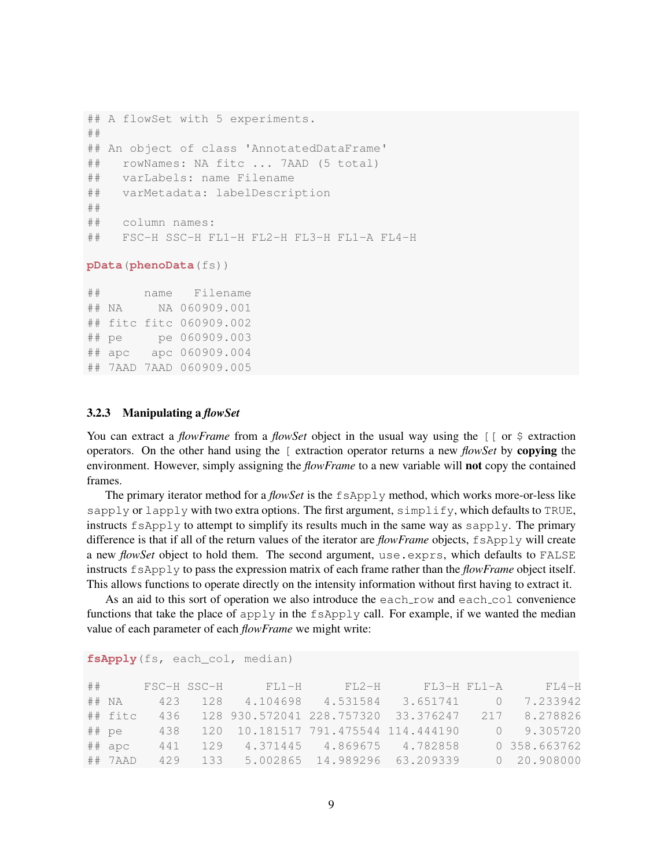```
## A flowSet with 5 experiments.
##
## An object of class 'AnnotatedDataFrame'
## rowNames: NA fitc ... 7AAD (5 total)
## varLabels: name Filename
## varMetadata: labelDescription
##
## column names:
## FSC-H SSC-H FL1-H FL2-H FL3-H FL1-A FL4-H
pData(phenoData(fs))
```
## name Filename ## NA NA 060909.001 ## fitc fitc 060909.002 ## pe pe 060909.003 ## apc apc 060909.004 ## 7AAD 7AAD 060909.005

#### 3.2.3 Manipulating a *flowSet*

You can extract a *flowFrame* from a *flowSet* object in the usual way using the  $\int \int$  or  $\int \int$  extraction operators. On the other hand using the [ extraction operator returns a new *flowSet* by copying the environment. However, simply assigning the *flowFrame* to a new variable will not copy the contained frames.

The primary iterator method for a *flowSet* is the fsApply method, which works more-or-less like sapply or lapply with two extra options. The first argument, simplify, which defaults to TRUE, instructs  $f$ s $\Delta$ pply to attempt to simplify its results much in the same way as sapply. The primary difference is that if all of the return values of the iterator are *flowFrame* objects, fsApply will create a new *flowSet* object to hold them. The second argument, use . exprs, which defaults to FALSE instructs fsApply to pass the expression matrix of each frame rather than the *flowFrame* object itself. This allows functions to operate directly on the intensity information without first having to extract it.

As an aid to this sort of operation we also introduce the each\_row and each\_col convenience functions that take the place of apply in the  $f$ s Apply call. For example, if we wanted the median value of each parameter of each *flowFrame* we might write:

|              |  | ## FSC-H SSC-H FL1-H FL2-H                                                 |  | FL3-H FL1-A FL4-H |
|--------------|--|----------------------------------------------------------------------------|--|-------------------|
| $\#$ $\#$ NA |  | $-423$ 128 4.104698 4.531584 3.651741 0 7.233942                           |  |                   |
| $\#$ # fitc  |  | 436     128    930.572041    228.757320     33.376247     217     8.278826 |  |                   |
| ## pe        |  | 438 120 10.181517 791.475544 114.444190 0 9.305720                         |  |                   |
| ## apc       |  | 441 129 4.371445 4.869675 4.782858                                         |  | 0 358.663762      |
|              |  | ## 7AAD  429  133  5.002865  14.989296  63.209339                          |  | 0 20.908000       |

**fsApply**(fs, each\_col, median)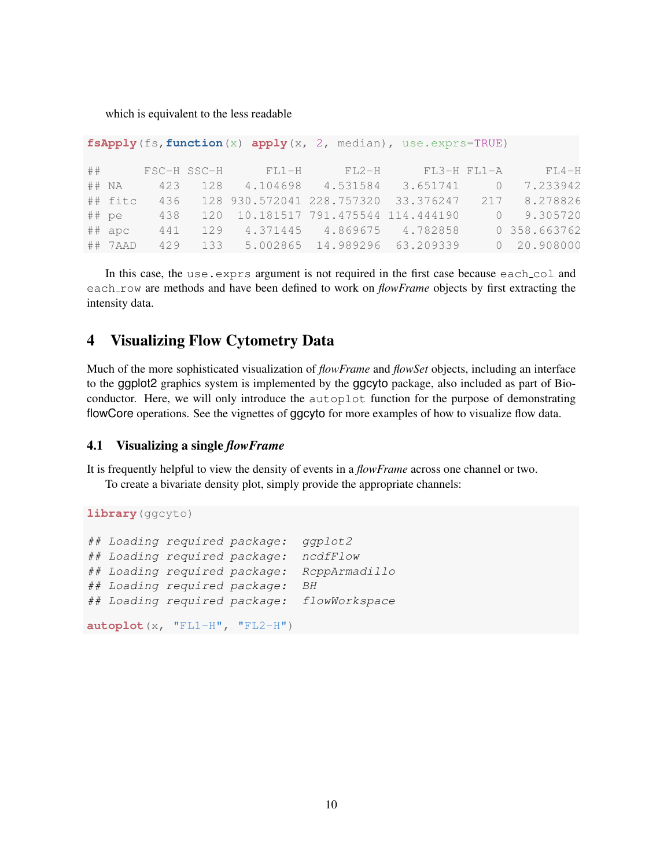### which is equivalent to the less readable

```
fsApply(fs,function(x) apply(x, 2, median), use.exprs=TRUE)
## FSC-H SSC-H FL1-H FL2-H FL3-H FL1-A FL4-H
## NA 423 128 4.104698 4.531584 3.651741 0 7.233942
## fitc 436 128 930.572041 228.757320 33.376247 217 8.278826
## pe 438 120 10.181517 791.475544 114.444190 0 9.305720
## apc 441 129 4.371445 4.869675 4.782858 0 358.663762
## 7AAD 429 133 5.002865 14.989296 63.209339 0 20.908000
```
In this case, the use,  $\epsilon$  exprs argument is not required in the first case because  $\epsilon$  ach  $\epsilon$  col and each row are methods and have been defined to work on *flowFrame* objects by first extracting the intensity data.

# 4 Visualizing Flow Cytometry Data

Much of the more sophisticated visualization of *flowFrame* and *flowSet* objects, including an interface to the ggplot2 graphics system is implemented by the ggcyto package, also included as part of Bioconductor. Here, we will only introduce the autoplot function for the purpose of demonstrating flowCore operations. See the vignettes of ggcyto for more examples of how to visualize flow data.

### 4.1 Visualizing a single *flowFrame*

It is frequently helpful to view the density of events in a *flowFrame* across one channel or two. To create a bivariate density plot, simply provide the appropriate channels:

```
library(ggcyto)
## Loading required package: ggplot2
## Loading required package: ncdfFlow
## Loading required package: RcppArmadillo
## Loading required package: BH
## Loading required package: flowWorkspace
autoplot(x, "FL1-H", "FL2-H")
```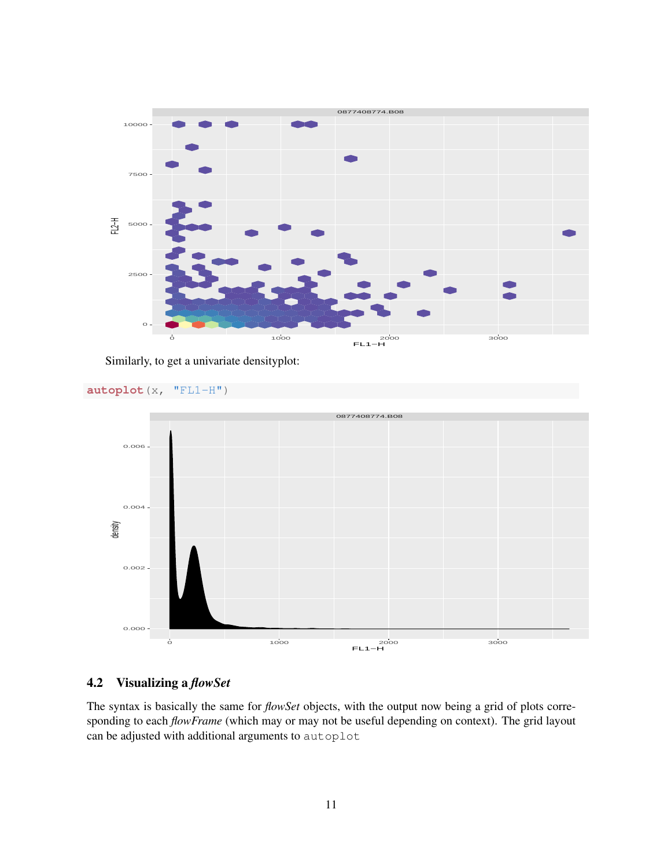

Similarly, to get a univariate densityplot:



# 4.2 Visualizing a *flowSet*

The syntax is basically the same for *flowSet* objects, with the output now being a grid of plots corresponding to each *flowFrame* (which may or may not be useful depending on context). The grid layout can be adjusted with additional arguments to autoplot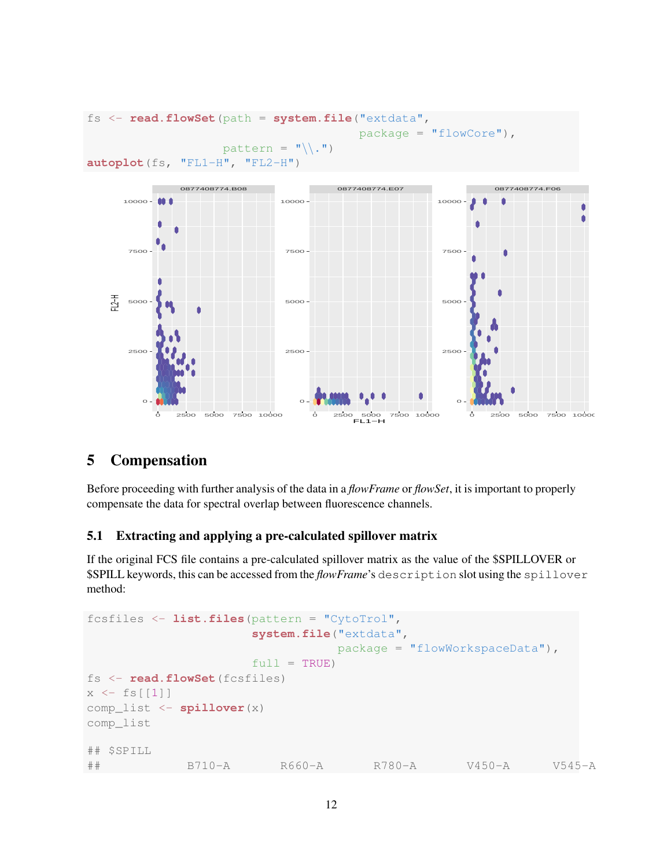```
fs <- read.flowSet(path = system.file("extdata",
                                              package = "flowCore"),
                      pattern = "\rangle\langle\cdot"\rangleautoplot(fs, "FL1-H", "FL2-H")
```


# 5 Compensation

Before proceeding with further analysis of the data in a *flowFrame* or *flowSet*, it is important to properly compensate the data for spectral overlap between fluorescence channels.

# 5.1 Extracting and applying a pre-calculated spillover matrix

If the original FCS file contains a pre-calculated spillover matrix as the value of the \$SPILLOVER or \$SPILL keywords, this can be accessed from the *flowFrame*'s description slot using the spillover method:

```
fcsfiles <- list.files(pattern = "CytoTrol",
                     system.file("extdata",
                                package = "flowWorkspaceData"),
                     full = TRUEfs <- read.flowSet(fcsfiles)
x \leftarrow fs[1]comp_list <- spillover(x)
comp_list
## $SPILL
## B710-A R660-A R780-A V450-A V545-A
```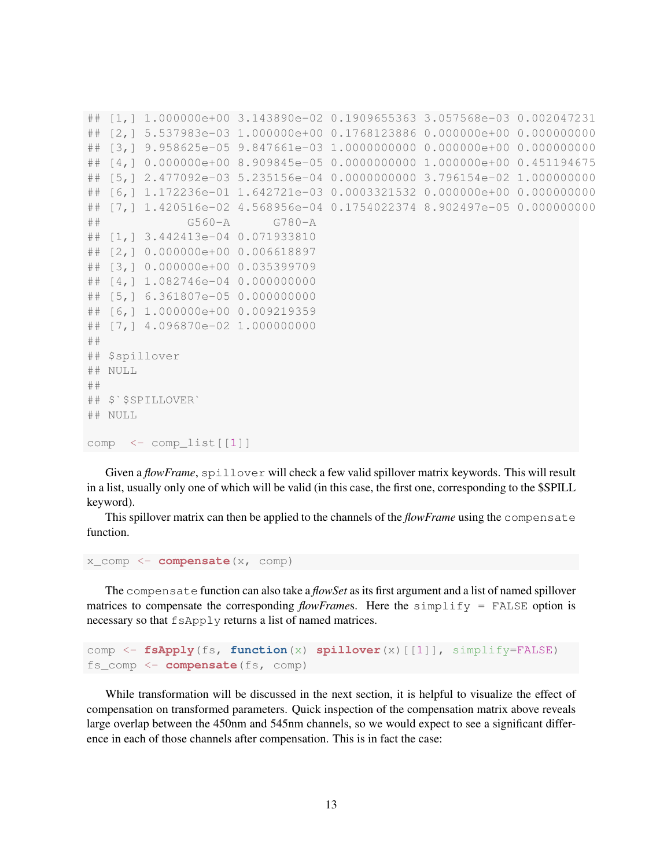```
## [1,] 1.000000e+00 3.143890e-02 0.1909655363 3.057568e-03 0.002047231
## [2,] 5.537983e-03 1.000000e+00 0.1768123886 0.000000e+00 0.000000000
## [3,] 9.958625e-05 9.847661e-03 1.0000000000 0.000000e+00 0.000000000
## [4,] 0.000000e+00 8.909845e-05 0.0000000000 1.000000e+00 0.451194675
## [5,] 2.477092e-03 5.235156e-04 0.0000000000 3.796154e-02 1.000000000
## [6,] 1.172236e-01 1.642721e-03 0.0003321532 0.000000e+00 0.000000000
## [7,] 1.420516e-02 4.568956e-04 0.1754022374 8.902497e-05 0.000000000
## G560-A G780-A
## [1,] 3.442413e-04 0.071933810
## [2,] 0.000000e+00 0.006618897
## [3,] 0.000000e+00 0.035399709
## [4,] 1.082746e-04 0.000000000
## [5,] 6.361807e-05 0.000000000
## [6,] 1.000000e+00 0.009219359
## [7,] 4.096870e-02 1.000000000
##
## $spillover
## NULL
##
## $`$SPILLOVER`
## NULL
comp <- comp_list[[1]]
```
Given a *flowFrame*, spillover will check a few valid spillover matrix keywords. This will result in a list, usually only one of which will be valid (in this case, the first one, corresponding to the \$SPILL keyword).

This spillover matrix can then be applied to the channels of the *flowFrame* using the compensate function.

```
x_comp <- compensate(x, comp)
```
The compensate function can also take a *flowSet* as its first argument and a list of named spillover matrices to compensate the corresponding *flowFrame*s. Here the simplify = FALSE option is necessary so that fsApply returns a list of named matrices.

```
comp <- fsApply(fs, function(x) spillover(x)[[1]], simplify=FALSE)
fs_comp <- compensate(fs, comp)
```
While transformation will be discussed in the next section, it is helpful to visualize the effect of compensation on transformed parameters. Quick inspection of the compensation matrix above reveals large overlap between the 450nm and 545nm channels, so we would expect to see a significant difference in each of those channels after compensation. This is in fact the case: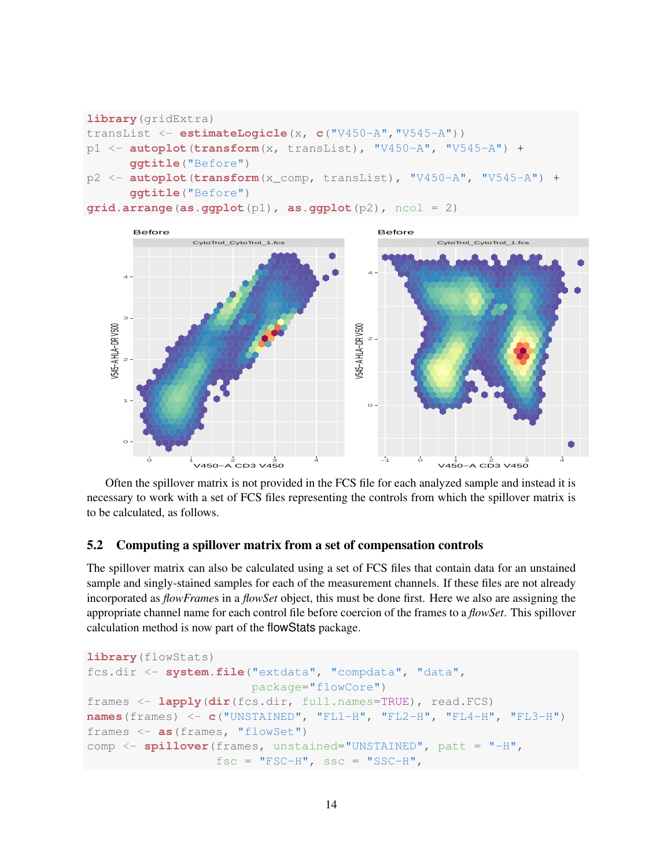```
library(gridExtra)
transList <- estimateLogicle(x, c("V450-A","V545-A"))
p1 <- autoplot(transform(x, transList), "V450-A", "V545-A") +
      ggtitle("Before")
p2 <- autoplot(transform(x_comp, transList), "V450-A", "V545-A") +
      ggtitle("Before")
```

```
Before
        Before
                           CytoTrol_CytoTrol_1.fcs
                                                                                                             CytoTrol_CytoTrol_1.fcs
                                                                                      4
     4
     3
V545-A HLA-DR V500
 V545−A HLA−DR V500
                                                                                 545-A HLA-DR V500
                                                                                  V545−A HLA−DR V500
                                                                                      2
     2
     1
                                                                                      \circ_{\rm O}\frac{1}{\sqrt{450-A}} 2D3 \sqrt{450} 4
                                                                                          -1 0 \sqrt{450}−A CD3 V450 4
```
**grid.arrange**(**as.ggplot**(p1), **as.ggplot**(p2), ncol = 2)

Often the spillover matrix is not provided in the FCS file for each analyzed sample and instead it is necessary to work with a set of FCS files representing the controls from which the spillover matrix is to be calculated, as follows.

# 5.2 Computing a spillover matrix from a set of compensation controls

The spillover matrix can also be calculated using a set of FCS files that contain data for an unstained sample and singly-stained samples for each of the measurement channels. If these files are not already incorporated as *flowFrame*s in a *flowSet* object, this must be done first. Here we also are assigning the appropriate channel name for each control file before coercion of the frames to a *flowSet*. This spillover calculation method is now part of the flowStats package.

```
library(flowStats)
fcs.dir <- system.file("extdata", "compdata", "data",
                       package="flowCore")
frames <- lapply(dir(fcs.dir, full.names=TRUE), read.FCS)
names(frames) <- c("UNSTAINED", "FL1-H", "FL2-H", "FL4-H", "FL3-H")
frames <- as(frames, "flowSet")
comp <- spillover(frames, unstained="UNSTAINED", patt = "-H",
                  fsc = "FSC-H", ssc = "SSC-H",
```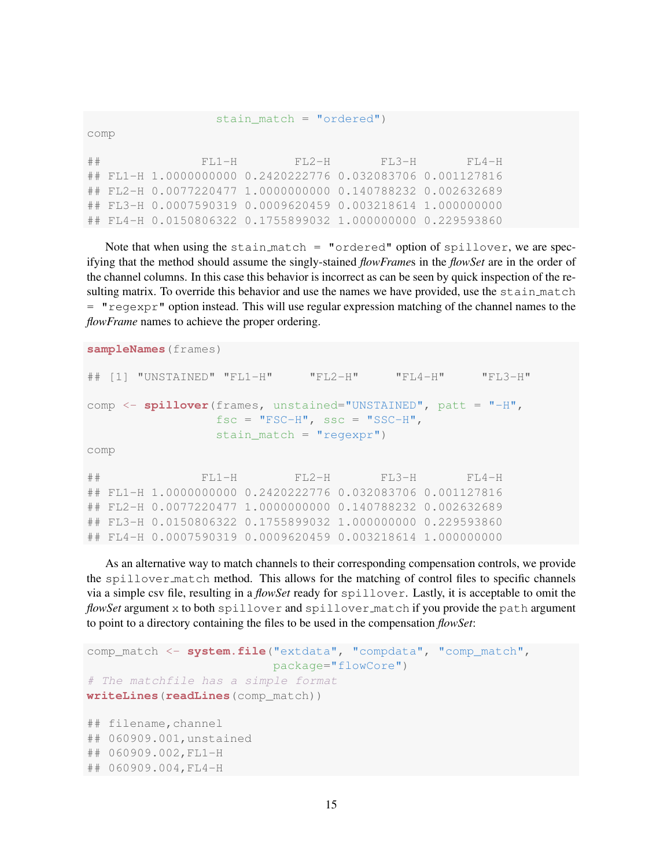```
stain_match = "ordered")
comp
## FL1-H FL2-H FL3-H FL4-H
## FL1-H 1.0000000000 0.2420222776 0.032083706 0.001127816
## FL2-H 0.0077220477 1.0000000000 0.140788232 0.002632689
## FL3-H 0.0007590319 0.0009620459 0.003218614 1.000000000
## FL4-H 0.0150806322 0.1755899032 1.000000000 0.229593860
```
Note that when using the stain match  $=$  "ordered" option of spillover, we are specifying that the method should assume the singly-stained *flowFrame*s in the *flowSet* are in the order of the channel columns. In this case this behavior is incorrect as can be seen by quick inspection of the resulting matrix. To override this behavior and use the names we have provided, use the stain match  $=$  " $r = r$  option instead. This will use regular expression matching of the channel names to the *flowFrame* names to achieve the proper ordering.

```
sampleNames(frames)
## [1] "UNSTAINED" "FL1-H" "FL2-H" "FL4-H" "FL3-H"
comp <- spillover(frames, unstained="UNSTAINED", patt = "-H",
                fsc = "FSC-H", ssc = "SSC-H",stain_match = "reqexpr")
comp
## FL1-H FL2-H FL3-H FL4-H
## FL1-H 1.0000000000 0.2420222776 0.032083706 0.001127816
## FL2-H 0.0077220477 1.0000000000 0.140788232 0.002632689
## FL3-H 0.0150806322 0.1755899032 1.000000000 0.229593860
## FL4-H 0.0007590319 0.0009620459 0.003218614 1.000000000
```
As an alternative way to match channels to their corresponding compensation controls, we provide the spillover match method. This allows for the matching of control files to specific channels via a simple csv file, resulting in a *flowSet* ready for spillover. Lastly, it is acceptable to omit the *flowSet* argument x to both spillover and spillover match if you provide the path argument to point to a directory containing the files to be used in the compensation *flowSet*:

```
comp_match <- system.file("extdata", "compdata", "comp_match",
                          package="flowCore")
# The matchfile has a simple format
writeLines(readLines(comp_match))
## filename,channel
## 060909.001,unstained
## 060909.002,FL1-H
## 060909.004,FL4-H
```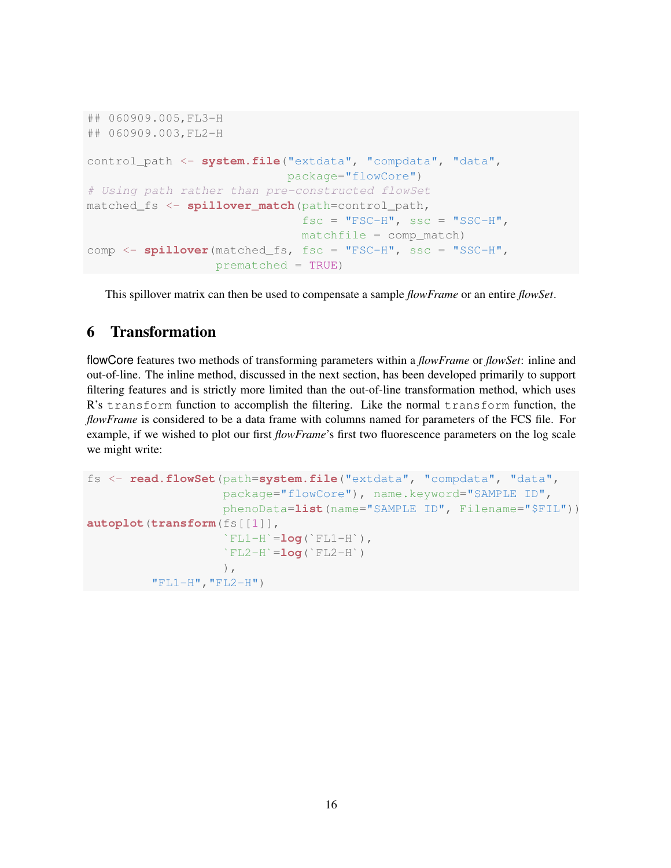```
## 060909.005,FL3-H
## 060909.003,FL2-H
control_path <- system.file("extdata", "compdata", "data",
                            package="flowCore")
# Using path rather than pre-constructed flowSet
matched_fs <- spillover_match(path=control_path,
                              fsc = "FSC-H", ssc = "SSC-H",matchfile = comp_match)
comp <- spillover(matched_fs, fsc = "FSC-H", ssc = "SSC-H",
                  prematched = TRUE)
```
This spillover matrix can then be used to compensate a sample *flowFrame* or an entire *flowSet*.

# 6 Transformation

flowCore features two methods of transforming parameters within a *flowFrame* or *flowSet*: inline and out-of-line. The inline method, discussed in the next section, has been developed primarily to support filtering features and is strictly more limited than the out-of-line transformation method, which uses R's transform function to accomplish the filtering. Like the normal transform function, the *flowFrame* is considered to be a data frame with columns named for parameters of the FCS file. For example, if we wished to plot our first *flowFrame*'s first two fluorescence parameters on the log scale we might write:

```
fs <- read.flowSet(path=system.file("extdata", "compdata", "data",
                   package="flowCore"), name.keyword="SAMPLE ID",
                   phenoData=list(name="SAMPLE ID", Filename="$FIL"))
autoplot(transform(fs[[1]],
                   `FL1-H`=log(`FL1-H`),
                   `FL2-H`=log(`FL2-H`)
                   ),
         "FL1-H","FL2-H")
```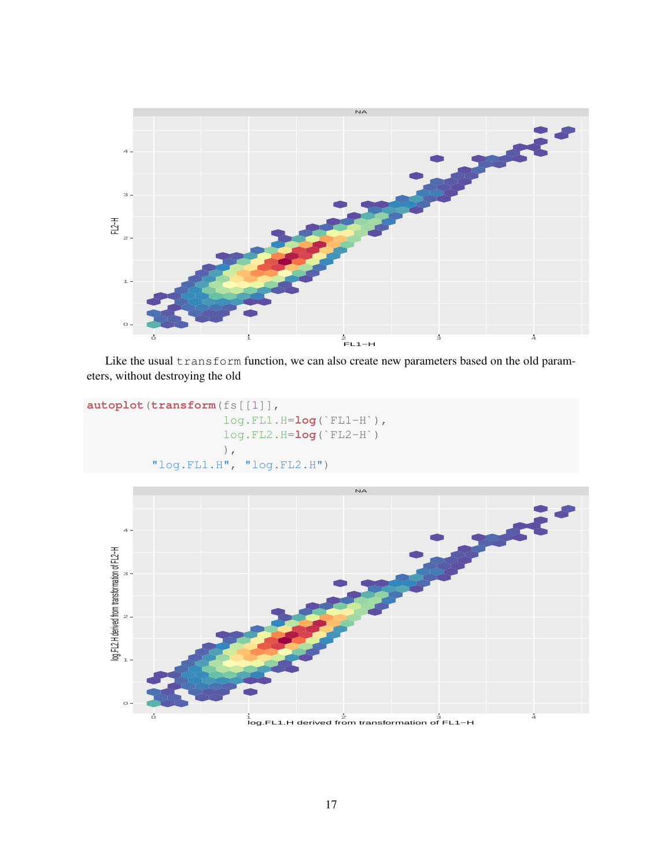

Like the usual transform function, we can also create new parameters based on the old parameters, without destroying the old

```
autoplot(transform(fs[[1]],
                   log.FL1.H=log(`FL1-H`),
                   log.FL2.H=log(`FL2-H`)
                   ),
         "log.FL1.H", "log.FL2.H")
```
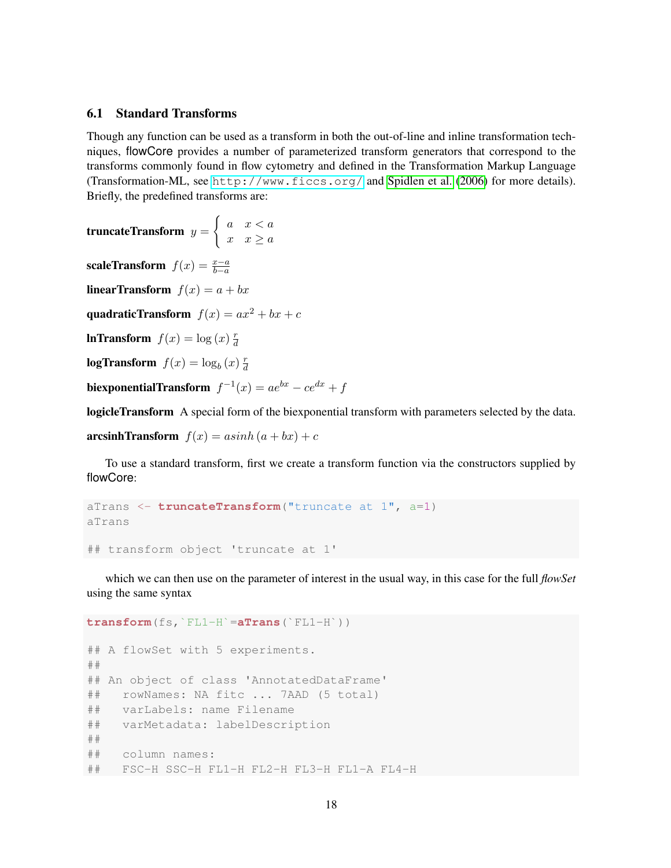#### 6.1 Standard Transforms

Though any function can be used as a transform in both the out-of-line and inline transformation techniques, flowCore provides a number of parameterized transform generators that correspond to the transforms commonly found in flow cytometry and defined in the Transformation Markup Language (Transformation-ML, see <http://www.ficcs.org/> and [Spidlen et al.](#page-38-10) [\(2006\)](#page-38-10) for more details). Briefly, the predefined transforms are:

truncateTransform  $y =$  $\int a \quad x < a$  $x \quad x \geq a$ scaleTransform  $f(x) = \frac{x-a}{b-a}$ linearTransform  $f(x) = a + bx$ quadraticTransform  $f(x) = ax^2 + bx + c$ **lnTransform**  $f(x) = \log(x) \frac{r}{d}$ d logTransform  $f(x) = \log_b(x) \frac{r}{d}$ d biexponentialTransform  $f^{-1}(x) = ae^{bx} - ce^{dx} + f$ 

logicleTransform A special form of the biexponential transform with parameters selected by the data.

arcsinhTransform  $f(x) = a\sinh(a + bx) + c$ 

To use a standard transform, first we create a transform function via the constructors supplied by flowCore:

```
aTrans <- truncateTransform("truncate at 1", a=1)
aTrans
## transform object 'truncate at 1'
```
which we can then use on the parameter of interest in the usual way, in this case for the full *flowSet* using the same syntax

```
transform(fs,`FL1-H`=aTrans(`FL1-H`))
## A flowSet with 5 experiments.
##
## An object of class 'AnnotatedDataFrame'
## rowNames: NA fitc ... 7AAD (5 total)
## varLabels: name Filename
## varMetadata: labelDescription
##
## column names:
## FSC-H SSC-H FL1-H FL2-H FL3-H FL1-A FL4-H
```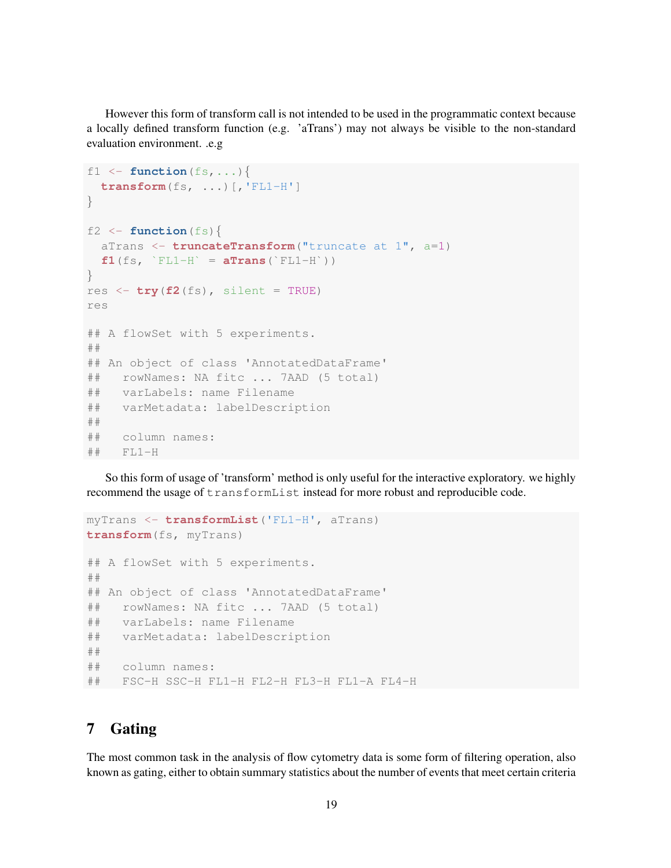However this form of transform call is not intended to be used in the programmatic context because a locally defined transform function (e.g. 'aTrans') may not always be visible to the non-standard evaluation environment. .e.g

```
f1 \leftarrow function(fs, ...){
  transform(fs, ...)[,'FL1-H']
}
f2 \leftarrow function (fs) {
 aTrans <- truncateTransform("truncate at 1", a=1)
  f1(fs, 'FL1-H' = aTrans('FL1-H'))}
res \leftarrow try (f2(fs), silent = TRUE)
res
## A flowSet with 5 experiments.
##
## An object of class 'AnnotatedDataFrame'
## rowNames: NA fitc ... 7AAD (5 total)
## varLabels: name Filename
## varMetadata: labelDescription
##
## column names:
## FL1-H
```
So this form of usage of 'transform' method is only useful for the interactive exploratory. we highly recommend the usage of transformList instead for more robust and reproducible code.

```
myTrans <- transformList('FL1-H', aTrans)
transform(fs, myTrans)
## A flowSet with 5 experiments.
##
## An object of class 'AnnotatedDataFrame'
## rowNames: NA fitc ... 7AAD (5 total)
## varLabels: name Filename
## varMetadata: labelDescription
##
## column names:
## FSC-H SSC-H FL1-H FL2-H FL3-H FL1-A FL4-H
```
# 7 Gating

The most common task in the analysis of flow cytometry data is some form of filtering operation, also known as gating, either to obtain summary statistics about the number of events that meet certain criteria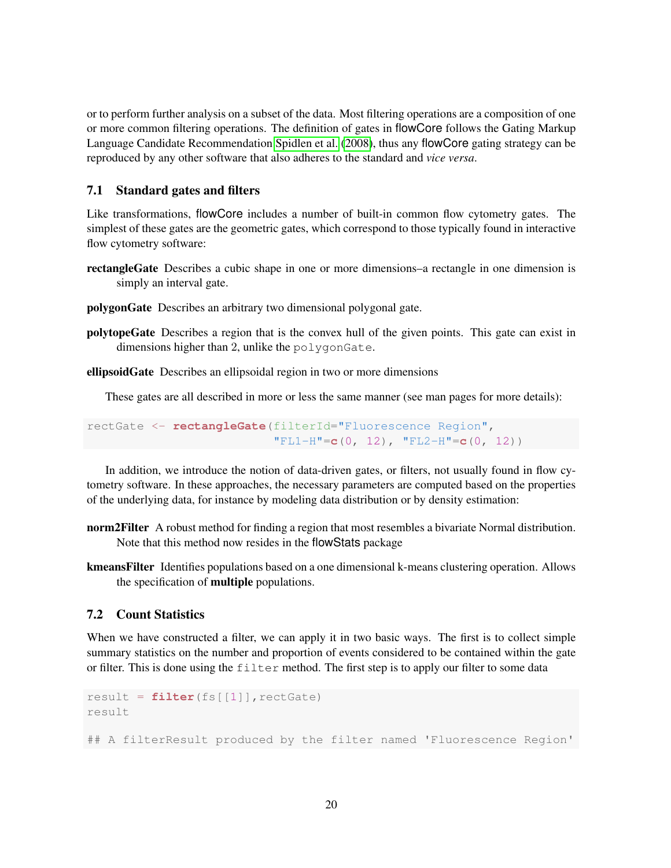or to perform further analysis on a subset of the data. Most filtering operations are a composition of one or more common filtering operations. The definition of gates in flowCore follows the Gating Markup Language Candidate Recommendation [Spidlen et al.](#page-38-11) [\(2008\)](#page-38-11), thus any flowCore gating strategy can be reproduced by any other software that also adheres to the standard and *vice versa*.

# 7.1 Standard gates and filters

Like transformations, flowCore includes a number of built-in common flow cytometry gates. The simplest of these gates are the geometric gates, which correspond to those typically found in interactive flow cytometry software:

- rectangleGate Describes a cubic shape in one or more dimensions–a rectangle in one dimension is simply an interval gate.
- polygonGate Describes an arbitrary two dimensional polygonal gate.
- polytopeGate Describes a region that is the convex hull of the given points. This gate can exist in dimensions higher than 2, unlike the polygonGate.

ellipsoidGate Describes an ellipsoidal region in two or more dimensions

These gates are all described in more or less the same manner (see man pages for more details):

```
rectGate <- rectangleGate(filterId="Fluorescence Region",
                           "FLI-H" = c(0, 12), "FL2-H" = c(0, 12)
```
In addition, we introduce the notion of data-driven gates, or filters, not usually found in flow cytometry software. In these approaches, the necessary parameters are computed based on the properties of the underlying data, for instance by modeling data distribution or by density estimation:

- norm2Filter A robust method for finding a region that most resembles a bivariate Normal distribution. Note that this method now resides in the flowStats package
- kmeansFilter Identifies populations based on a one dimensional k-means clustering operation. Allows the specification of multiple populations.

### 7.2 Count Statistics

When we have constructed a filter, we can apply it in two basic ways. The first is to collect simple summary statistics on the number and proportion of events considered to be contained within the gate or filter. This is done using the filter method. The first step is to apply our filter to some data

```
result = filter(fs[[1]],rectGate)
result
## A filterResult produced by the filter named 'Fluorescence Region'
```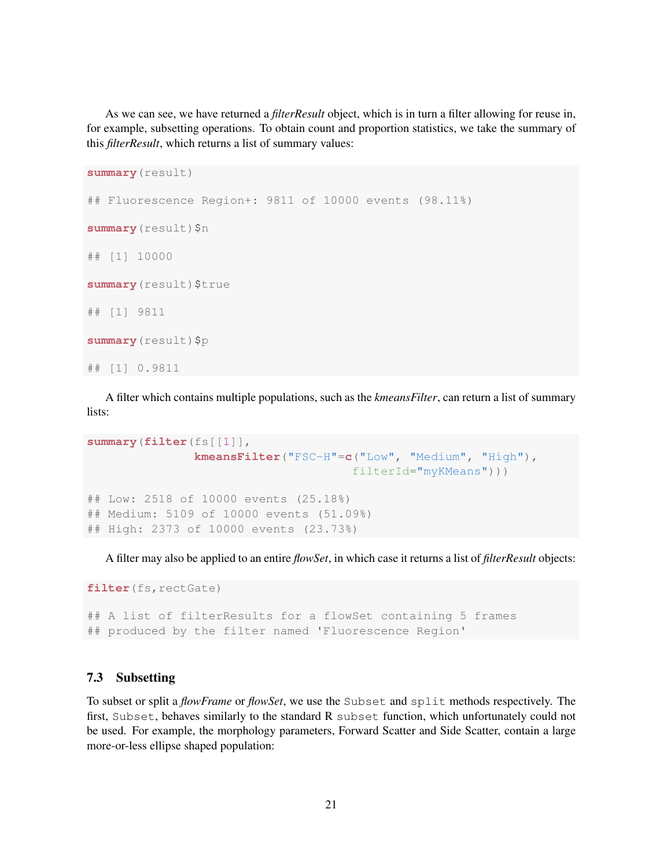As we can see, we have returned a *filterResult* object, which is in turn a filter allowing for reuse in, for example, subsetting operations. To obtain count and proportion statistics, we take the summary of this *filterResult*, which returns a list of summary values:

```
summary(result)
## Fluorescence Region+: 9811 of 10000 events (98.11%)
summary (result) $n
## [1] 10000
summary(result)$true
## [1] 9811
summary(result)$p
## [1] 0.9811
```
A filter which contains multiple populations, such as the *kmeansFilter*, can return a list of summary lists:

```
summary(filter(fs[[1]],
               kmeansFilter("FSC-H"=c("Low", "Medium", "High"),
                                     filterId="myKMeans")))
## Low: 2518 of 10000 events (25.18%)
## Medium: 5109 of 10000 events (51.09%)
## High: 2373 of 10000 events (23.73%)
```
A filter may also be applied to an entire *flowSet*, in which case it returns a list of *filterResult* objects:

```
filter(fs, rectGate)
```

```
## A list of filterResults for a flowSet containing 5 frames
## produced by the filter named 'Fluorescence Region'
```
### 7.3 Subsetting

To subset or split a *flowFrame* or *flowSet*, we use the Subset and split methods respectively. The first, Subset, behaves similarly to the standard R subset function, which unfortunately could not be used. For example, the morphology parameters, Forward Scatter and Side Scatter, contain a large more-or-less ellipse shaped population: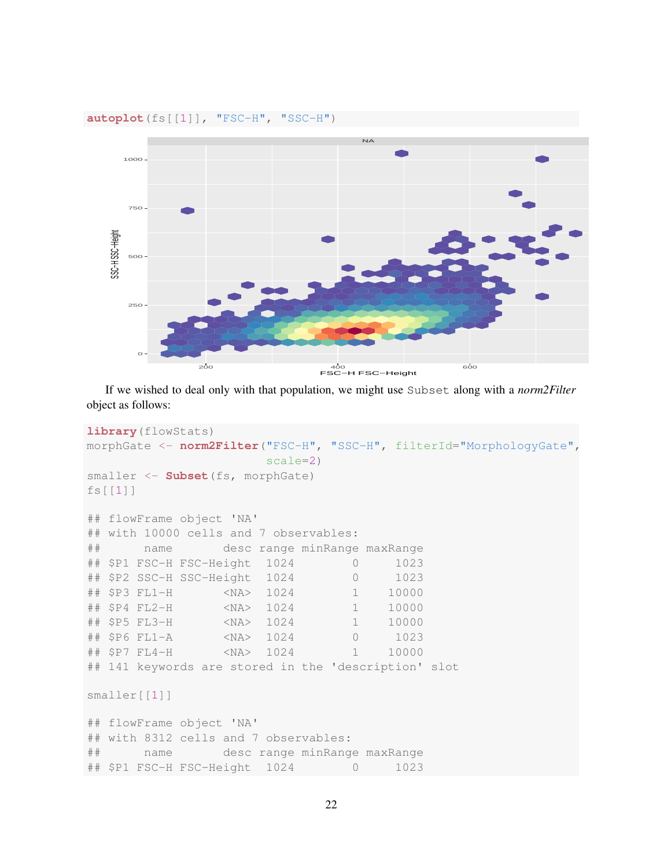

If we wished to deal only with that population, we might use Subset along with a *norm2Filter* object as follows:

```
library(flowStats)
morphGate <- norm2Filter("FSC-H", "SSC-H", filterId="MorphologyGate",
                     scale=2)
smaller <- Subset(fs, morphGate)
fs[[1]]
## flowFrame object 'NA'
## with 10000 cells and 7 observables:
## name desc range minRange maxRange
## $P1 FSC-H FSC-Height 1024 0 1023
## $P2 SSC-H SSC-Height 1024 0 1023
## $P3 FL1-H <NA> 1024 1 10000
## $P4 FL2-H <NA> 1024 1 10000
## $P5 FL3-H <NA> 1024 1 10000
## $P6 FL1-A <NA> 1024 0 1023
## $P7 FL4-H <NA> 1024 1 10000
## 141 keywords are stored in the 'description' slot
smaller[[1]]
## flowFrame object 'NA'
## with 8312 cells and 7 observables:
## name desc range minRange maxRange
## $P1 FSC-H FSC-Height 1024 0 1023
```

```
autoplot(fs[[1]], "FSC-H", "SSC-H")
```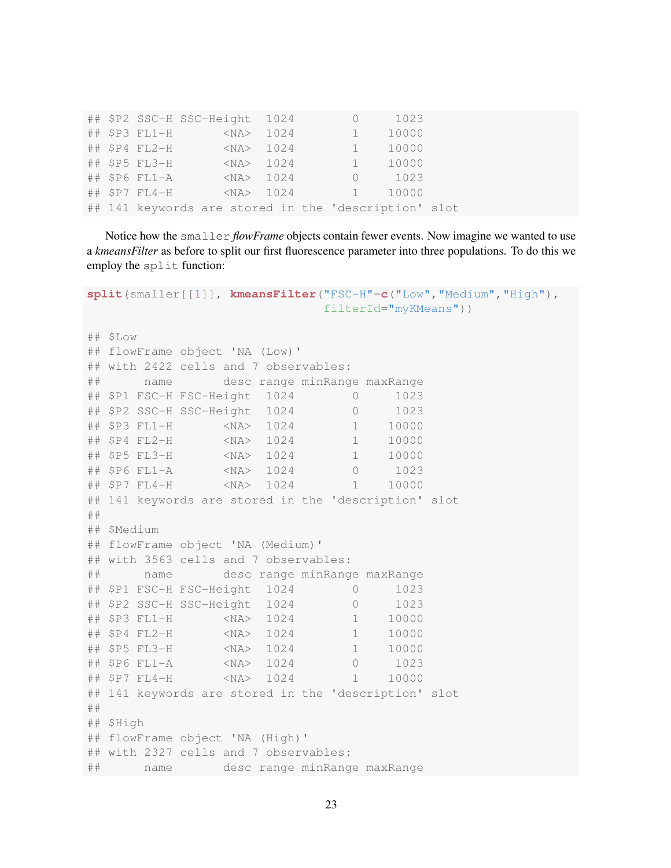|  |               | ## \$P2 SSC-H SSC-Height 1024                        |      | $\overline{0}$ | 1023  |  |
|--|---------------|------------------------------------------------------|------|----------------|-------|--|
|  | ## \$P3 FL1-H | $<$ NA $>$                                           | 1024 |                | 10000 |  |
|  | ## \$P4 FL2-H | $<$ NA> $1024$                                       |      | 1              | 10000 |  |
|  | ## \$P5 FL3-H | $<$ NA> $1024$                                       |      | $\sim$ 1       | 10000 |  |
|  | ## \$P6 FL1-A | $<$ NA> 1024                                         |      | $\overline{0}$ | 1023  |  |
|  | ## \$P7 FL4-H | $<$ NA> 1024                                         |      | $\sim$ 1       | 10000 |  |
|  |               | ## 141 keywords are stored in the 'description' slot |      |                |       |  |

Notice how the smaller *flowFrame* objects contain fewer events. Now imagine we wanted to use a *kmeansFilter* as before to split our first fluorescence parameter into three populations. To do this we employ the split function:

```
split(smaller[[1]], kmeansFilter("FSC-H"=c("Low","Medium","High"),
                           filterId="myKMeans"))
## $Low
## flowFrame object 'NA (Low)'
## with 2422 cells and 7 observables:
## name desc range minRange maxRange
## $P1 FSC-H FSC-Height 1024 0 1023
## $P2 SSC-H SSC-Height 1024 0 1023
## $P3 FL1-H <NA> 1024 1 10000
## $P4 FL2-H <NA> 1024 1 10000
## $P5 FL3-H <NA> 1024 1 10000
## $P6 FL1-A <NA> 1024 0 1023
## $P7 FL4-H <NA> 1024 1 10000
## 141 keywords are stored in the 'description' slot
##
## $Medium
## flowFrame object 'NA (Medium)'
## with 3563 cells and 7 observables:
## name desc range minRange maxRange
## $P1 FSC-H FSC-Height 1024 0 1023
## $P2 SSC-H SSC-Height 1024 0 1023
## $P3 FL1-H <NA> 1024 1 10000
## $P4 FL2-H <NA> 1024 1 10000
## $P5 FL3-H <NA> 1024 1 10000
## $P6 FL1-A <NA> 1024 0 1023
## $P7 FL4-H <NA> 1024 1 10000
## 141 keywords are stored in the 'description' slot
##
## $High
## flowFrame object 'NA (High)'
## with 2327 cells and 7 observables:
## name desc range minRange maxRange
```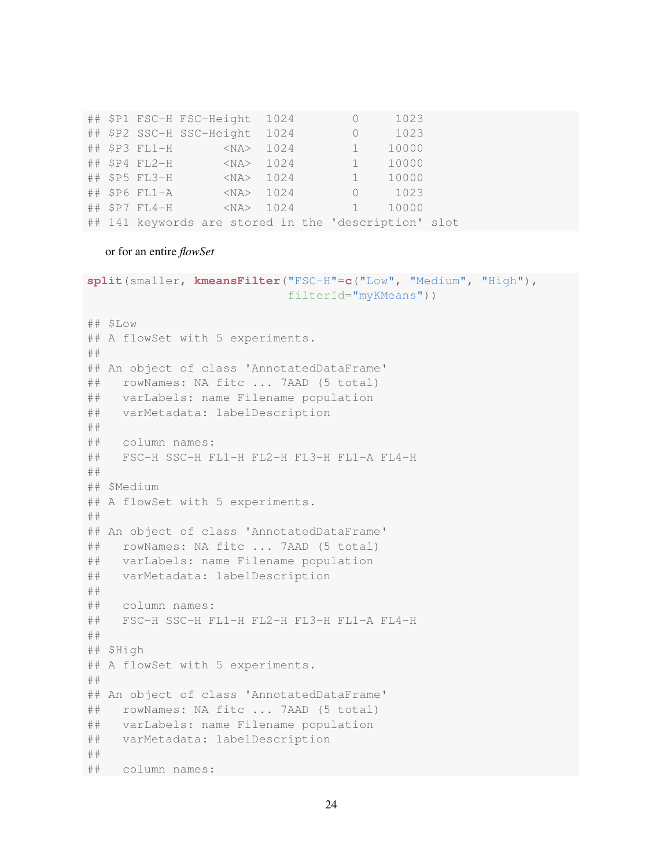|  | ## \$P1 FSC-H FSC-Height 1024                        |  | $0 \t 1023$ |  |  |  |
|--|------------------------------------------------------|--|-------------|--|--|--|
|  | ## \$P2 SSC-H SSC-Height 1024                        |  | 0 1023      |  |  |  |
|  | ## \$P3 FL1-H <na> 1024 1 10000</na>                 |  |             |  |  |  |
|  |                                                      |  |             |  |  |  |
|  | ## \$P5 FL3-H <na> 1024 1 10000</na>                 |  |             |  |  |  |
|  | ## \$P6 FL1-A <na> 1024 0 1023</na>                  |  |             |  |  |  |
|  | ## \$P7 FL4-H <na> 1024 1 10000</na>                 |  |             |  |  |  |
|  | ## 141 keywords are stored in the 'description' slot |  |             |  |  |  |

#### or for an entire *flowSet*

```
split(smaller, kmeansFilter("FSC-H"=c("Low", "Medium", "High"),
                           filterId="myKMeans"))
## $Low
## A flowSet with 5 experiments.
##
## An object of class 'AnnotatedDataFrame'
## rowNames: NA fitc ... 7AAD (5 total)
## varLabels: name Filename population
## varMetadata: labelDescription
##
## column names:
## FSC-H SSC-H FL1-H FL2-H FL3-H FL1-A FL4-H
##
## $Medium
## A flowSet with 5 experiments.
##
## An object of class 'AnnotatedDataFrame'
## rowNames: NA fitc ... 7AAD (5 total)
## varLabels: name Filename population
## varMetadata: labelDescription
##
## column names:
## FSC-H SSC-H FL1-H FL2-H FL3-H FL1-A FL4-H
##
## $High
## A flowSet with 5 experiments.
##
## An object of class 'AnnotatedDataFrame'
## rowNames: NA fitc ... 7AAD (5 total)
## varLabels: name Filename population
## varMetadata: labelDescription
##
## column names:
```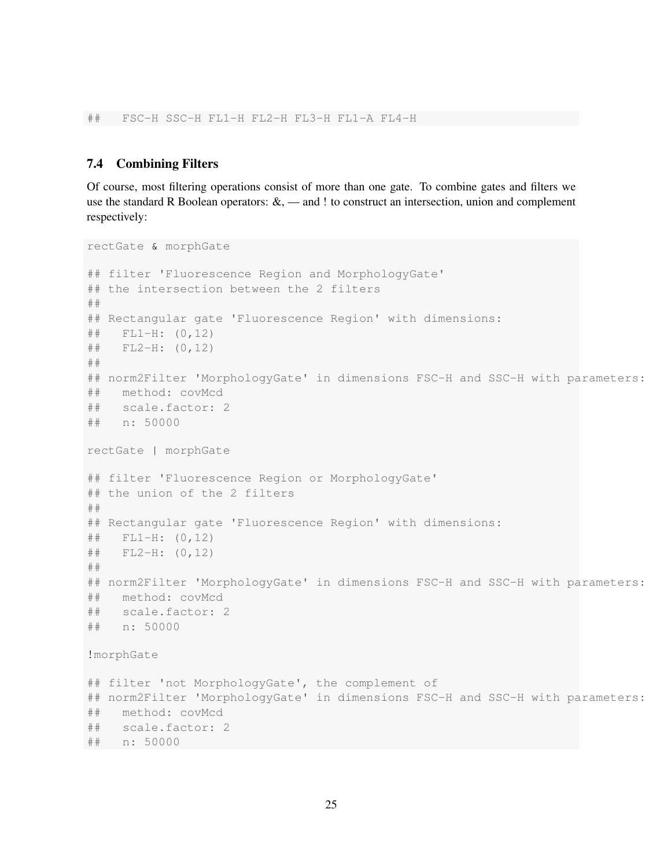## FSC-H SSC-H FL1-H FL2-H FL3-H FL1-A FL4-H

## 7.4 Combining Filters

Of course, most filtering operations consist of more than one gate. To combine gates and filters we use the standard R Boolean operators:  $\&$ , — and ! to construct an intersection, union and complement respectively:

```
rectGate & morphGate
## filter 'Fluorescence Region and MorphologyGate'
## the intersection between the 2 filters
##
## Rectangular gate 'Fluorescence Region' with dimensions:
## FL1-H: (0,12)
## FL2-H: (0,12)
##
## norm2Filter 'MorphologyGate' in dimensions FSC-H and SSC-H with parameters:
## method: covMcd
## scale.factor: 2
## n: 50000
rectGate | morphGate
## filter 'Fluorescence Region or MorphologyGate'
## the union of the 2 filters
##
## Rectangular gate 'Fluorescence Region' with dimensions:
\# \# FL1-H: (0, 12)\# FL2-H: (0, 12)##
## norm2Filter 'MorphologyGate' in dimensions FSC-H and SSC-H with parameters:
## method: covMcd
## scale.factor: 2
## n: 50000
!morphGate
## filter 'not MorphologyGate', the complement of
## norm2Filter 'MorphologyGate' in dimensions FSC-H and SSC-H with parameters:
## method: covMcd
## scale.factor: 2
## n: 50000
```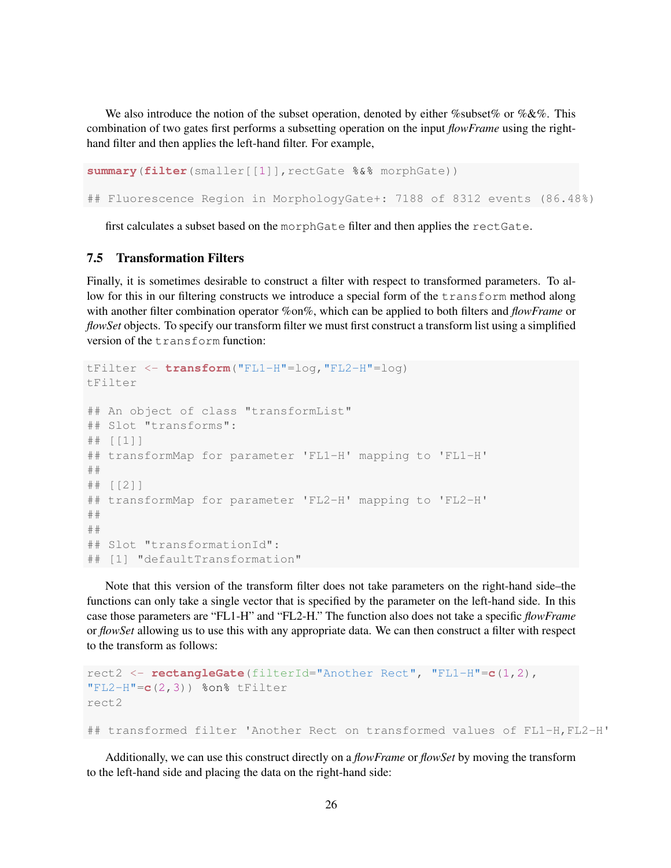We also introduce the notion of the subset operation, denoted by either % subset% or % & %. This combination of two gates first performs a subsetting operation on the input *flowFrame* using the righthand filter and then applies the left-hand filter. For example,

```
summary(filter(smaller[[1]],rectGate %&% morphGate))
## Fluorescence Region in MorphologyGate+: 7188 of 8312 events (86.48%)
```
first calculates a subset based on the morphGate filter and then applies the rectGate.

## 7.5 Transformation Filters

Finally, it is sometimes desirable to construct a filter with respect to transformed parameters. To allow for this in our filtering constructs we introduce a special form of the transform method along with another filter combination operator %on%, which can be applied to both filters and *flowFrame* or *flowSet* objects. To specify our transform filter we must first construct a transform list using a simplified version of the transform function:

```
tFilter <- transform("FL1-H"=log,"FL2-H"=log)
tFilter
## An object of class "transformList"
## Slot "transforms":
## [[1]]
## transformMap for parameter 'FL1-H' mapping to 'FL1-H'
##
## [[2]]
## transformMap for parameter 'FL2-H' mapping to 'FL2-H'
##
##
## Slot "transformationId":
## [1] "defaultTransformation"
```
Note that this version of the transform filter does not take parameters on the right-hand side–the functions can only take a single vector that is specified by the parameter on the left-hand side. In this case those parameters are "FL1-H" and "FL2-H." The function also does not take a specific *flowFrame* or *flowSet* allowing us to use this with any appropriate data. We can then construct a filter with respect to the transform as follows:

```
rect2 <- rectangleGate(filterId="Another Rect", "FL1-H"=c(1,2),
"FL2-H"=c(2,3)) %on% tFilter
rect2
## transformed filter 'Another Rect on transformed values of FL1-H,FL2-H'
```
Additionally, we can use this construct directly on a *flowFrame* or *flowSet* by moving the transform to the left-hand side and placing the data on the right-hand side: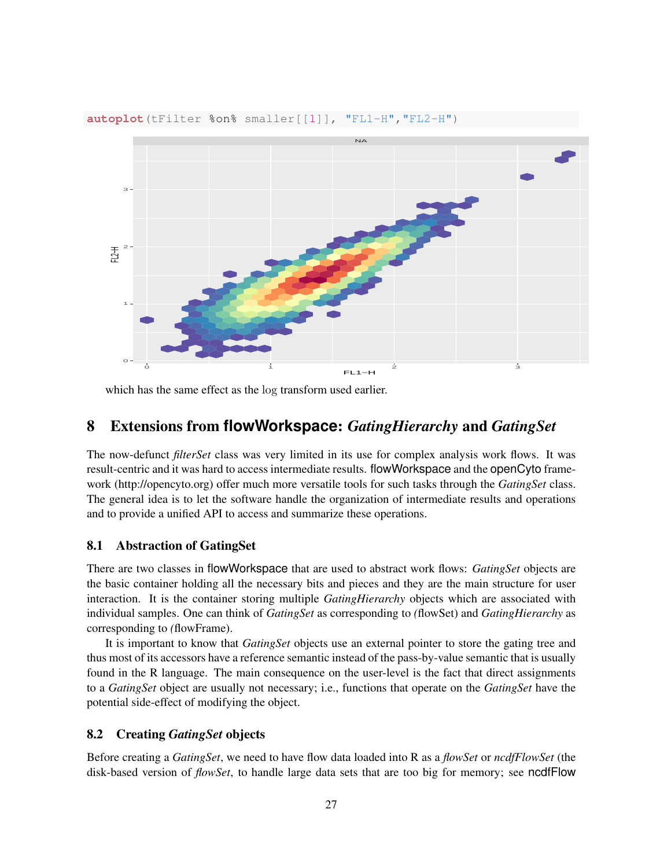

**autoplot**(tFilter %on% smaller[[1]], "FL1-H","FL2-H")

which has the same effect as the log transform used earlier.

# 8 Extensions from **flowWorkspace**: *GatingHierarchy* and *GatingSet*

The now-defunct *filterSet* class was very limited in its use for complex analysis work flows. It was result-centric and it was hard to access intermediate results. flowWorkspace and the openCyto framework (http://opencyto.org) offer much more versatile tools for such tasks through the *GatingSet* class. The general idea is to let the software handle the organization of intermediate results and operations and to provide a unified API to access and summarize these operations.

#### 8.1 Abstraction of GatingSet

There are two classes in flowWorkspace that are used to abstract work flows: *GatingSet* objects are the basic container holding all the necessary bits and pieces and they are the main structure for user interaction. It is the container storing multiple *GatingHierarchy* objects which are associated with individual samples. One can think of *GatingSet* as corresponding to *(*flowSet) and *GatingHierarchy* as corresponding to *(*flowFrame).

It is important to know that *GatingSet* objects use an external pointer to store the gating tree and thus most of its accessors have a reference semantic instead of the pass-by-value semantic that is usually found in the R language. The main consequence on the user-level is the fact that direct assignments to a *GatingSet* object are usually not necessary; i.e., functions that operate on the *GatingSet* have the potential side-effect of modifying the object.

### 8.2 Creating *GatingSet* objects

Before creating a *GatingSet*, we need to have flow data loaded into R as a *flowSet* or *ncdfFlowSet* (the disk-based version of *flowSet*, to handle large data sets that are too big for memory; see ncdfFlow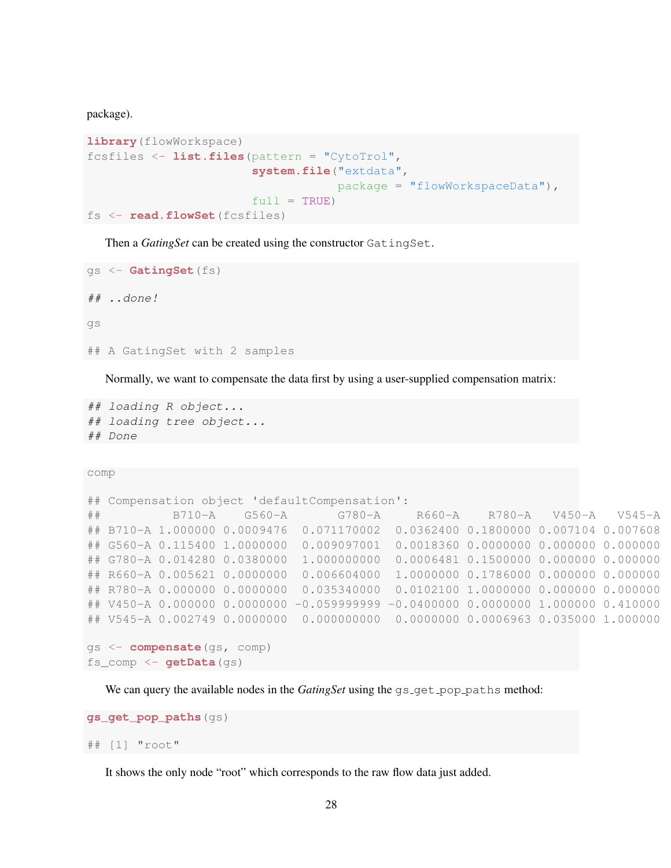package).

```
library(flowWorkspace)
fcsfiles <- list.files(pattern = "CytoTrol",
                       system.file("extdata",
                                    package = "flowWorkspaceData"),
                        full = TRUE)
fs <- read.flowSet(fcsfiles)
```
Then a *GatingSet* can be created using the constructor GatingSet.

```
gs <- GatingSet(fs)
## ..done!
gs
## A GatingSet with 2 samples
```
Normally, we want to compensate the data first by using a user-supplied compensation matrix:

```
## loading R object...
## loading tree object...
## Done
```
comp

```
## Compensation object 'defaultCompensation':
## B710-A G560-A G780-A R660-A R780-A V450-A V545-A
## B710-A 1.000000 0.0009476 0.071170002 0.0362400 0.1800000 0.007104 0.007608
## G560-A 0.115400 1.0000000 0.009097001 0.0018360 0.0000000 0.000000 0.000000
## G780-A 0.014280 0.0380000 1.000000000 0.0006481 0.1500000 0.000000 0.000000
## R660-A 0.005621 0.0000000 0.006604000 1.0000000 0.1786000 0.000000 0.000000
## R780-A 0.000000 0.0000000 0.035340000 0.0102100 1.0000000 0.000000 0.000000
## V450-A 0.000000 0.0000000 -0.059999999 -0.0400000 0.0000000 1.000000 0.410000
## V545-A 0.002749 0.0000000 0.000000000 0.0000000 0.0006963 0.035000 1.000000
gs <- compensate(gs, comp)
```
fs\_comp <- **getData**(gs)

We can query the available nodes in the  $GatingSet$  using the  $qs\_get\_pop\_paths$  method:

```
gs_get_pop_paths(gs)
```
## [1] "root"

It shows the only node "root" which corresponds to the raw flow data just added.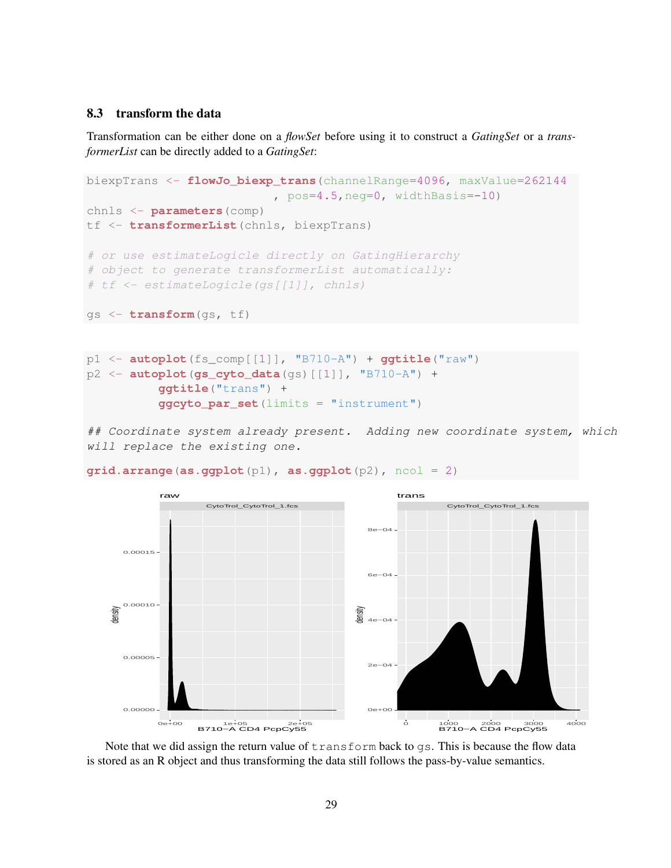### 8.3 transform the data

Transformation can be either done on a *flowSet* before using it to construct a *GatingSet* or a *transformerList* can be directly added to a *GatingSet*:

```
biexpTrans <- flowJo_biexp_trans(channelRange=4096, maxValue=262144
                          , pos=4.5, neg=0, widthBasis=-10)chnls <- parameters(comp)
tf <- transformerList(chnls, biexpTrans)
# or use estimateLogicle directly on GatingHierarchy
# object to generate transformerList automatically:
# tf <- estimateLogicle(gs[[1]], chnls)
gs <- transform(gs, tf)
```

```
p1 <- autoplot(fs_comp[[1]], "B710-A") + ggtitle("raw")
p2 <- autoplot(gs_cyto_data(gs)[[1]], "B710-A") +
          ggtitle("trans") +
          ggcyto_par_set(limits = "instrument")
```
## Coordinate system already present. Adding new coordinate system, which will replace the existing one.

**grid.arrange**(**as.ggplot**(p1), **as.ggplot**(p2), ncol = 2)



Note that we did assign the return value of  $t$  ransform back to  $q$ s. This is because the flow data is stored as an R object and thus transforming the data still follows the pass-by-value semantics.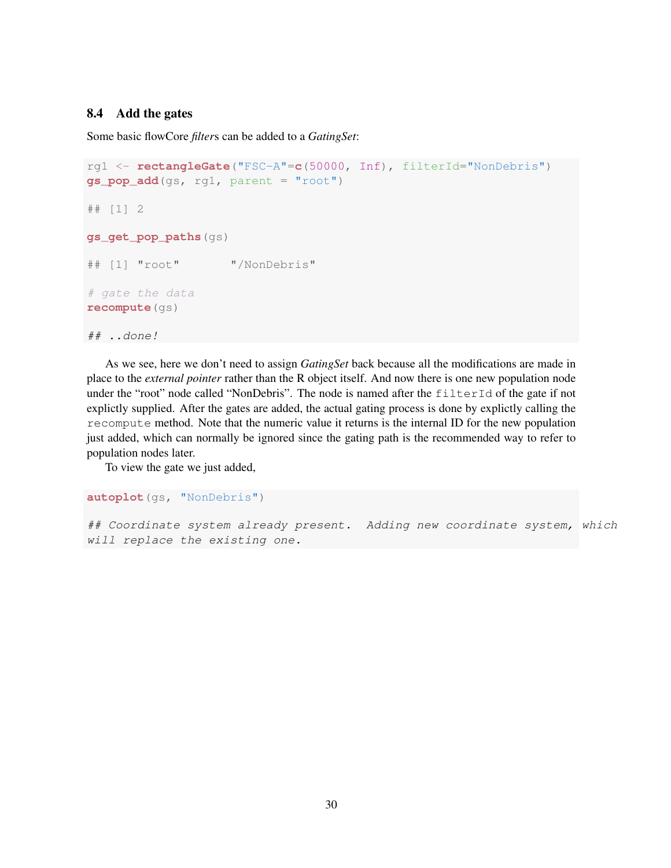### 8.4 Add the gates

Some basic flowCore *filter*s can be added to a *GatingSet*:

```
rg1 <- rectangleGate("FSC-A"=c(50000, Inf), filterId="NonDebris")
gs_pop_add(gs, rg1, parent = "root")
## [1] 2
gs_get_pop_paths(gs)
## [1] "root" "/NonDebris"
# gate the data
recompute(gs)
## ..done!
```
As we see, here we don't need to assign *GatingSet* back because all the modifications are made in place to the *external pointer* rather than the R object itself. And now there is one new population node under the "root" node called "NonDebris". The node is named after the filterId of the gate if not explictly supplied. After the gates are added, the actual gating process is done by explictly calling the recompute method. Note that the numeric value it returns is the internal ID for the new population just added, which can normally be ignored since the gating path is the recommended way to refer to population nodes later.

To view the gate we just added,

```
autoplot(gs, "NonDebris")
```

```
## Coordinate system already present. Adding new coordinate system, which
will replace the existing one.
```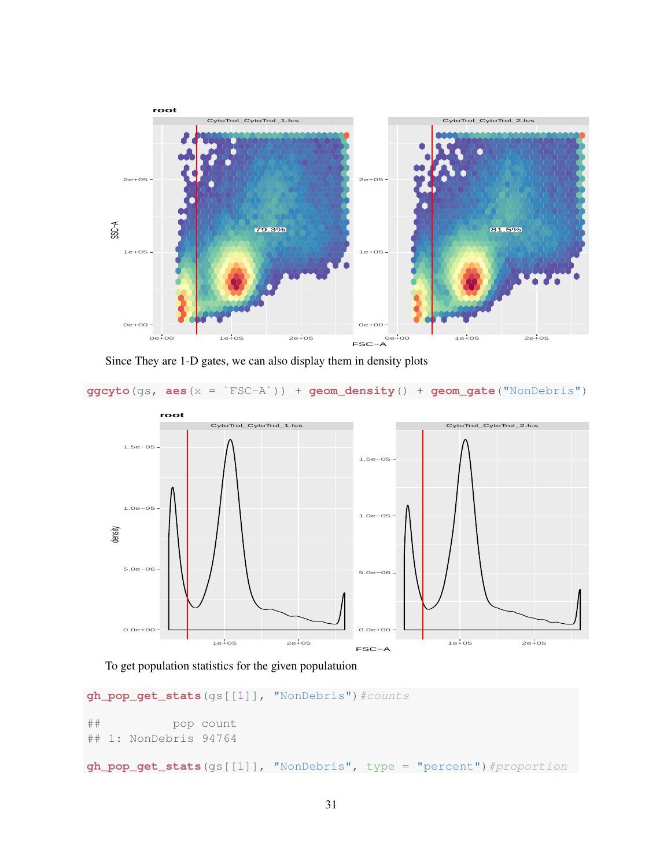

Since They are 1-D gates, we can also display them in density plots



To get population statistics for the given populatuion

```
gh_pop_get_stats(gs[[1]], "NonDebris")#counts
## pop count
## 1: NonDebris 94764
gh_pop_get_stats(gs[[1]], "NonDebris", type = "percent")#proportion
```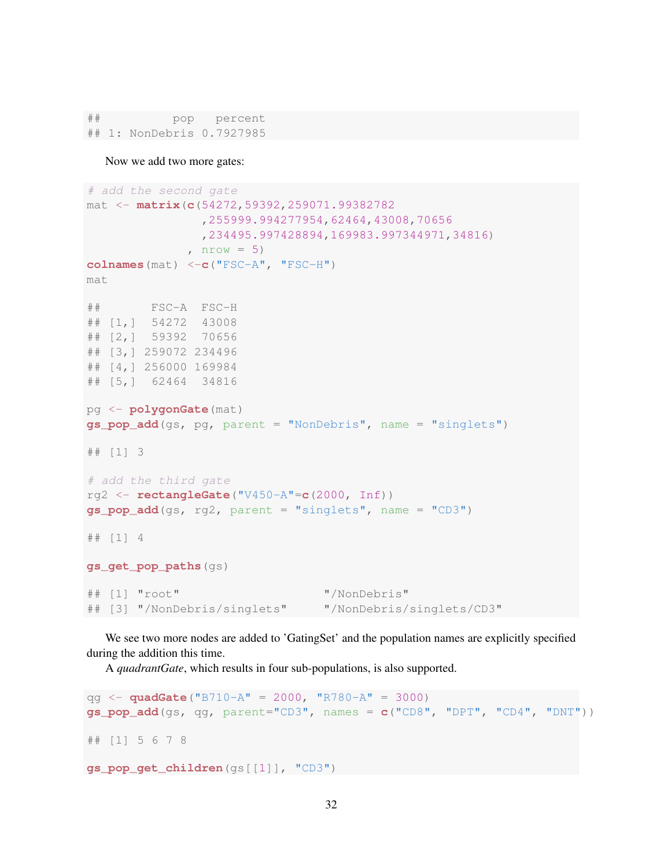## pop percent ## 1: NonDebris 0.7927985

Now we add two more gates:

```
# add the second gate
mat <- matrix(c(54272,59392,259071.99382782
               ,255999.994277954,62464,43008,70656
               ,234495.997428894,169983.997344971,34816)
             , nrow = 5)
colnames(mat) <-c("FSC-A", "FSC-H")
mat
## FSC-A FSC-H
## [1,] 54272 43008
## [2,] 59392 70656
## [3,] 259072 234496
## [4,] 256000 169984
## [5,] 62464 34816
pg <- polygonGate(mat)
gs_pop_add(gs, pg, parent = "NonDebris", name = "singlets")
## [1] 3
# add the third gate
rg2 <- rectangleGate("V450-A"=c(2000, Inf))
gs_pop_add(gs, rg2, parent = "singlets", name = "CD3")
## [1] 4
gs_get_pop_paths(gs)
## [1] "root" "/NonDebris"
## [3] "/NonDebris/singlets" "/NonDebris/singlets/CD3"
```
We see two more nodes are added to 'GatingSet' and the population names are explicitly specified during the addition this time.

A *quadrantGate*, which results in four sub-populations, is also supported.

```
qg <- quadGate("B710-A" = 2000, "R780-A" = 3000)
gs_pop_add(gs, qg, parent="CD3", names = c("CD8", "DPT", "CD4", "DNT"))
## [1] 5 6 7 8
gs_pop_get_children(gs[[1]], "CD3")
```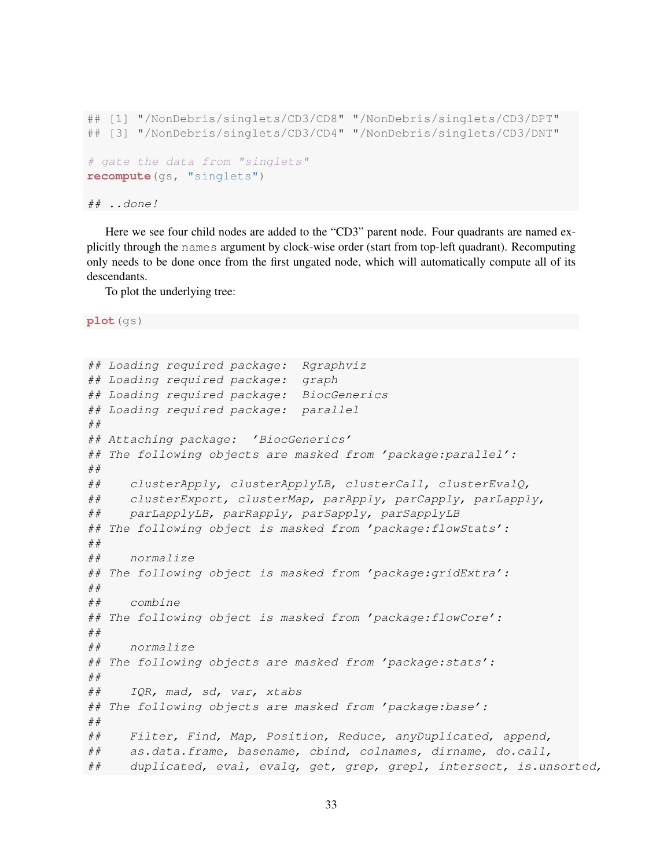```
## [1] "/NonDebris/singlets/CD3/CD8" "/NonDebris/singlets/CD3/DPT"
## [3] "/NonDebris/singlets/CD3/CD4" "/NonDebris/singlets/CD3/DNT"
# gate the data from "singlets"
recompute(gs, "singlets")
## ..done!
```
Here we see four child nodes are added to the "CD3" parent node. Four quadrants are named explicitly through the names argument by clock-wise order (start from top-left quadrant). Recomputing only needs to be done once from the first ungated node, which will automatically compute all of its descendants.

To plot the underlying tree:

**plot**(gs)

```
## Loading required package: Rgraphviz
## Loading required package: graph
## Loading required package: BiocGenerics
## Loading required package: parallel
##
## Attaching package: 'BiocGenerics'
## The following objects are masked from 'package:parallel':
##
## clusterApply, clusterApplyLB, clusterCall, clusterEvalQ,
## clusterExport, clusterMap, parApply, parCapply, parLapply,
## parLapplyLB, parRapply, parSapply, parSapplyLB
## The following object is masked from 'package:flowStats':
##
## normalize
## The following object is masked from 'package:gridExtra':
##
## combine
## The following object is masked from 'package:flowCore':
##
## normalize
## The following objects are masked from 'package:stats':
##
## IQR, mad, sd, var, xtabs
## The following objects are masked from 'package:base':
##
## Filter, Find, Map, Position, Reduce, anyDuplicated, append,
## as.data.frame, basename, cbind, colnames, dirname, do.call,
## duplicated, eval, evalq, get, grep, grepl, intersect, is.unsorted,
```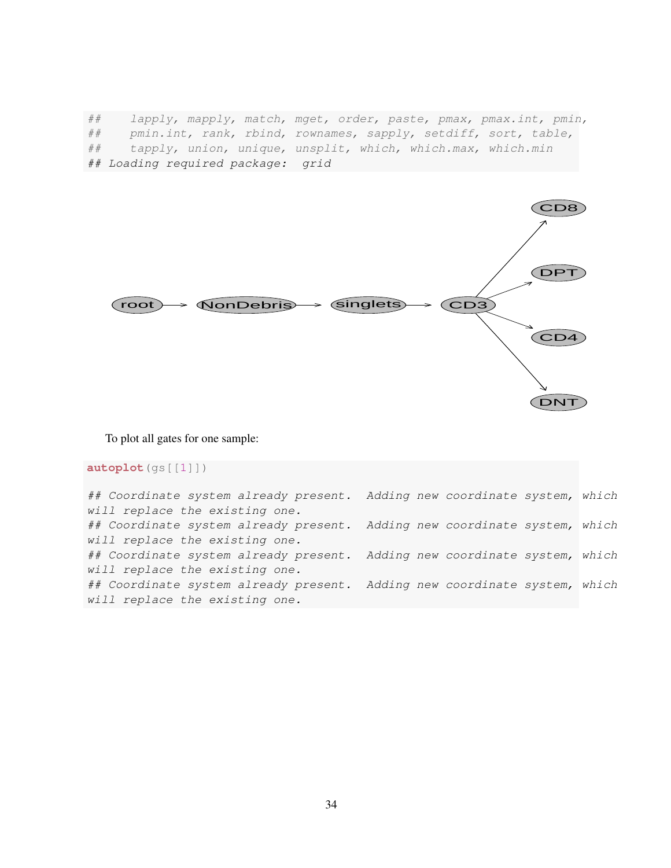## lapply, mapply, match, mget, order, paste, pmax, pmax.int, pmin, ## pmin.int, rank, rbind, rownames, sapply, setdiff, sort, table, ## tapply, union, unique, unsplit, which, which.max, which.min ## Loading required package: grid



## To plot all gates for one sample:

### **autoplot**(gs[[1]])

| ## Coordinate system already present. Adding new coordinate system, which |  |
|---------------------------------------------------------------------------|--|
| will replace the existing one.                                            |  |
| ## Coordinate system already present. Adding new coordinate system, which |  |
| will replace the existing one.                                            |  |
| ## Coordinate system already present. Adding new coordinate system, which |  |
| will replace the existing one.                                            |  |
| ## Coordinate system already present. Adding new coordinate system, which |  |
| will replace the existing one.                                            |  |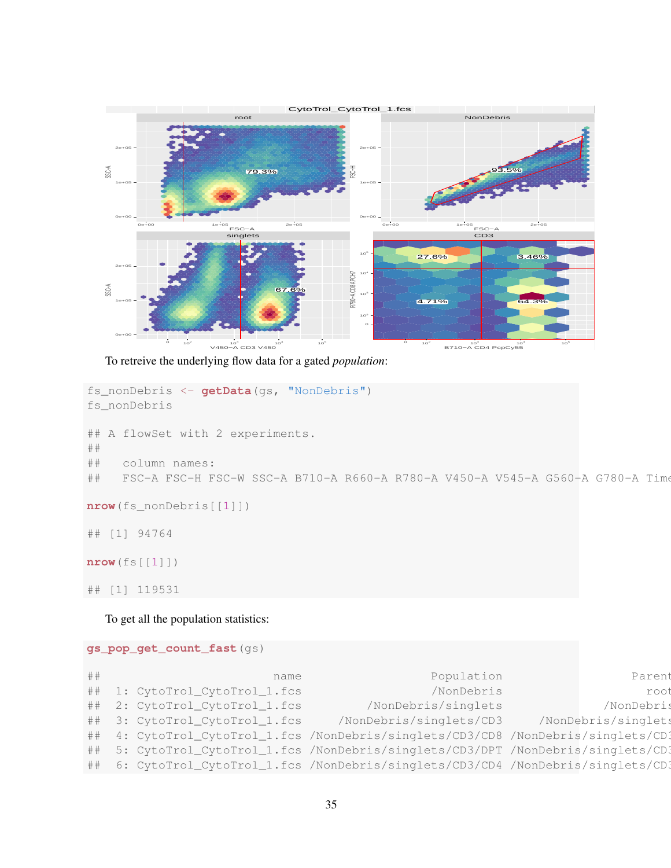

To retreive the underlying flow data for a gated *population*:

```
fs_nonDebris <- getData(gs, "NonDebris")
fs_nonDebris
## A flowSet with 2 experiments.
##
## column names:
## FSC-A FSC-H FSC-W SSC-A B710-A R660-A R780-A V450-A V545-A G560-A G780-A Time
nrow(fs_nonDebris[[1]])
## [1] 94764
nrow(fs[[1]])
## [1] 119531
```
To get all the population statistics:

```
gs_pop_get_count_fast(gs)
## name Population Parent
## 1: CytoTrol_CytoTrol_1.fcs /NonDebris root
## 2: CytoTrol_CytoTrol_1.fcs /NonDebris/singlets /NonDebris
## 3: CytoTrol_CytoTrol_1.fcs /NonDebris/singlets/CD3 /NonDebris/singlets
## 4: CytoTrol_CytoTrol_1.fcs /NonDebris/singlets/CD3/CD8 /NonDebris/singlets/CD3
## 5: CytoTrol_CytoTrol_1.fcs /NonDebris/singlets/CD3/DPT /NonDebris/singlets/CD3
## 6: CytoTrol_CytoTrol_1.fcs /NonDebris/singlets/CD3/CD4 /NonDebris/singlets/CD3
```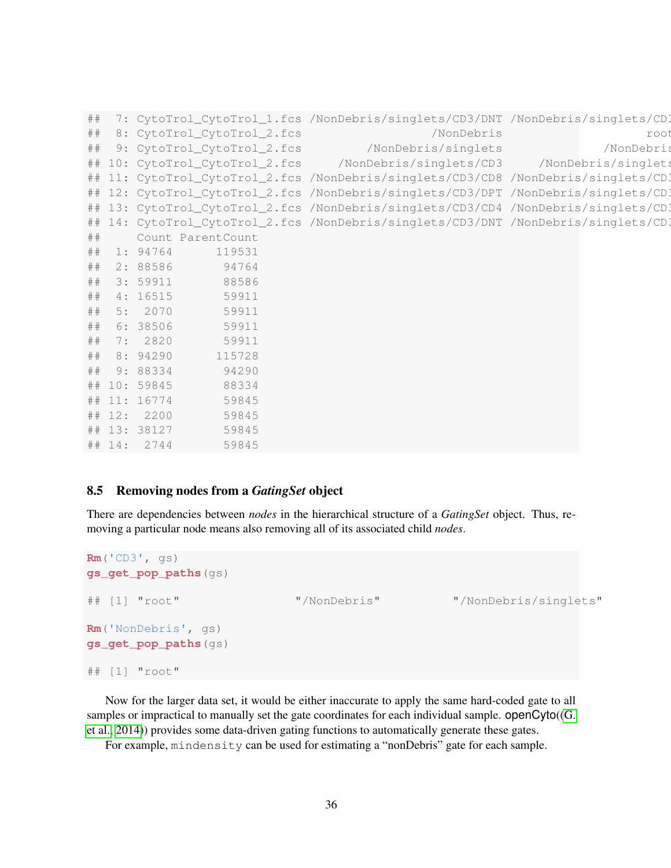|             |      |                                                                                                                                              | ## 7: CytoTrol_CytoTrol_1.fcs /NonDebris/singlets/CD3/DNT /NonDebris/singlets/CD3 |                            |                                                                                                                                                                                                                                                                                                                                                                                                                                    |
|-------------|------|----------------------------------------------------------------------------------------------------------------------------------------------|-----------------------------------------------------------------------------------|----------------------------|------------------------------------------------------------------------------------------------------------------------------------------------------------------------------------------------------------------------------------------------------------------------------------------------------------------------------------------------------------------------------------------------------------------------------------|
| ##          |      |                                                                                                                                              | /NonDebris                                                                        |                            | root                                                                                                                                                                                                                                                                                                                                                                                                                               |
|             |      |                                                                                                                                              |                                                                                   |                            | /NonDebris                                                                                                                                                                                                                                                                                                                                                                                                                         |
|             |      |                                                                                                                                              |                                                                                   |                            |                                                                                                                                                                                                                                                                                                                                                                                                                                    |
|             |      |                                                                                                                                              |                                                                                   |                            |                                                                                                                                                                                                                                                                                                                                                                                                                                    |
|             |      |                                                                                                                                              |                                                                                   |                            |                                                                                                                                                                                                                                                                                                                                                                                                                                    |
|             |      |                                                                                                                                              |                                                                                   |                            |                                                                                                                                                                                                                                                                                                                                                                                                                                    |
|             |      |                                                                                                                                              |                                                                                   |                            |                                                                                                                                                                                                                                                                                                                                                                                                                                    |
|             |      |                                                                                                                                              |                                                                                   |                            |                                                                                                                                                                                                                                                                                                                                                                                                                                    |
| ##          |      | 119531                                                                                                                                       |                                                                                   |                            |                                                                                                                                                                                                                                                                                                                                                                                                                                    |
|             |      |                                                                                                                                              |                                                                                   |                            |                                                                                                                                                                                                                                                                                                                                                                                                                                    |
|             |      |                                                                                                                                              |                                                                                   |                            |                                                                                                                                                                                                                                                                                                                                                                                                                                    |
| ##          |      | 59911                                                                                                                                        |                                                                                   |                            |                                                                                                                                                                                                                                                                                                                                                                                                                                    |
| ##          |      | 59911                                                                                                                                        |                                                                                   |                            |                                                                                                                                                                                                                                                                                                                                                                                                                                    |
| ##          |      | 59911                                                                                                                                        |                                                                                   |                            |                                                                                                                                                                                                                                                                                                                                                                                                                                    |
| ##          |      | 59911                                                                                                                                        |                                                                                   |                            |                                                                                                                                                                                                                                                                                                                                                                                                                                    |
| ##          |      | 115728                                                                                                                                       |                                                                                   |                            |                                                                                                                                                                                                                                                                                                                                                                                                                                    |
| ##          |      | 94290                                                                                                                                        |                                                                                   |                            |                                                                                                                                                                                                                                                                                                                                                                                                                                    |
|             |      | 88334                                                                                                                                        |                                                                                   |                            |                                                                                                                                                                                                                                                                                                                                                                                                                                    |
|             |      | 59845                                                                                                                                        |                                                                                   |                            |                                                                                                                                                                                                                                                                                                                                                                                                                                    |
|             |      | 59845                                                                                                                                        |                                                                                   |                            |                                                                                                                                                                                                                                                                                                                                                                                                                                    |
|             |      | 59845                                                                                                                                        |                                                                                   |                            |                                                                                                                                                                                                                                                                                                                                                                                                                                    |
| $\#  # 14:$ | 2744 | 59845                                                                                                                                        |                                                                                   |                            |                                                                                                                                                                                                                                                                                                                                                                                                                                    |
|             |      | 1: 94764<br>4:16515<br>5: 2070<br>6: 38506<br>7: 2820<br>8: 94290<br>9: 88334<br>## 10: 59845<br>## 11: 16774<br>## 12: 2200<br>## 13: 38127 | Count ParentCount<br>## 2:88586 94764<br>## 3: 59911 88586                        | 8: CytoTrol_CytoTrol_2.fcs | ## 10: CytoTrol_CytoTrol_2.fcs /NonDebris/singlets/CD3 /NonDebris/singlet;<br>## 11: CytoTrol_CytoTrol_2.fcs /NonDebris/singlets/CD3/CD8 /NonDebris/singlets/CD3<br>## 12: CytoTrol_CytoTrol_2.fcs /NonDebris/singlets/CD3/DPT /NonDebris/singlets/CD3<br>## 13: CytoTrol_CytoTrol_2.fcs /NonDebris/singlets/CD3/CD4 /NonDebris/singlets/CD;<br>## 14: CytoTrol_CytoTrol_2.fcs /NonDebris/singlets/CD3/DNT /NonDebris/singlets/CD; |

# 8.5 Removing nodes from a *GatingSet* object

There are dependencies between *nodes* in the hierarchical structure of a *GatingSet* object. Thus, removing a particular node means also removing all of its associated child *nodes*.

```
Rm('CD3', gs)
gs_get_pop_paths(gs)
## [1] "root" "/NonDebris" "/NonDebris/singlets"
Rm('NonDebris', gs)
gs_get_pop_paths(gs)
## [1] "root"
```
Now for the larger data set, it would be either inaccurate to apply the same hard-coded gate to all samples or impractical to manually set the gate coordinates for each individual sample. openCyto([\(G.](#page-38-12) [et al., 2014\)](#page-38-12)) provides some data-driven gating functions to automatically generate these gates.

For example, mindensity can be used for estimating a "nonDebris" gate for each sample.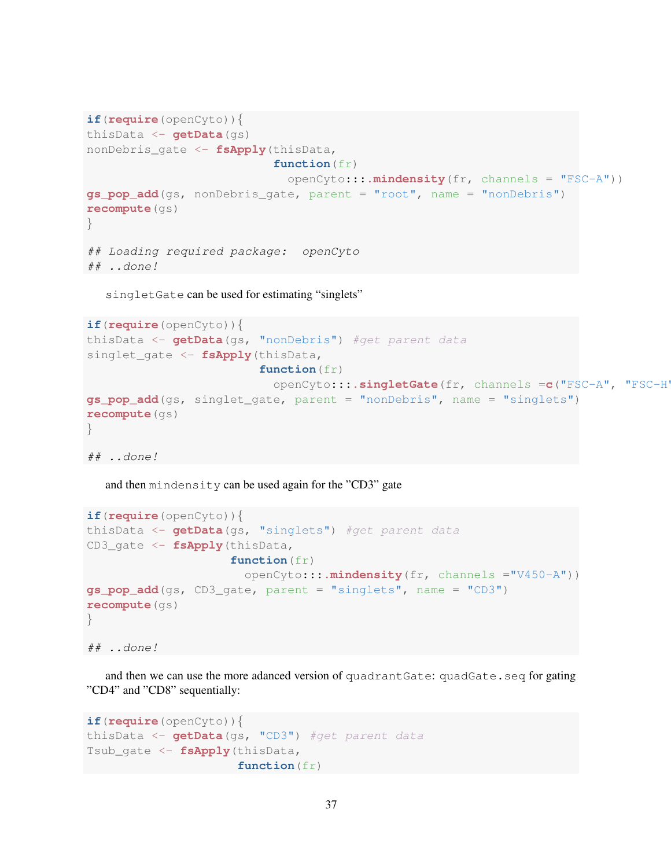```
if(require(openCyto)){
thisData <- getData(gs)
nonDebris_gate <- fsApply(thisData,
                          function(fr)
                            openCyto:::.mindensity(fr, channels = "FSC-A"))
gs_pop_add(gs, nonDebris_gate, parent = "root", name = "nonDebris")
recompute(gs)
}
## Loading required package: openCyto
## ..done!
```
singletGate can be used for estimating "singlets"

```
if(require(openCyto)){
thisData <- getData(gs, "nonDebris") #get parent data
singlet_gate <- fsApply(thisData,
                        function(fr)
                          openCyto:::.singletGate(fr, channels =c("FSC-A", "FSC-H")))
gs_pop_add(gs, singlet_gate, parent = "nonDebris", name = "singlets")
recompute(gs)
}
```
## ..done!

and then mindensity can be used again for the "CD3" gate

```
if(require(openCyto)){
thisData <- getData(gs, "singlets") #get parent data
CD3_gate <- fsApply(thisData,
                    function(fr)
                      openCyto:::.mindensity(fr, channels ="V450-A"))
gs_pop_add(gs, CD3_gate, parent = "singlets", name = "CD3")
recompute(gs)
}
## ..done!
```
and then we can use the more adanced version of quadrantGate: quadGate.seq for gating "CD4" and "CD8" sequentially:

```
if(require(openCyto)){
thisData <- getData(gs, "CD3") #get parent data
Tsub_gate <- fsApply(thisData,
                     function(fr)
```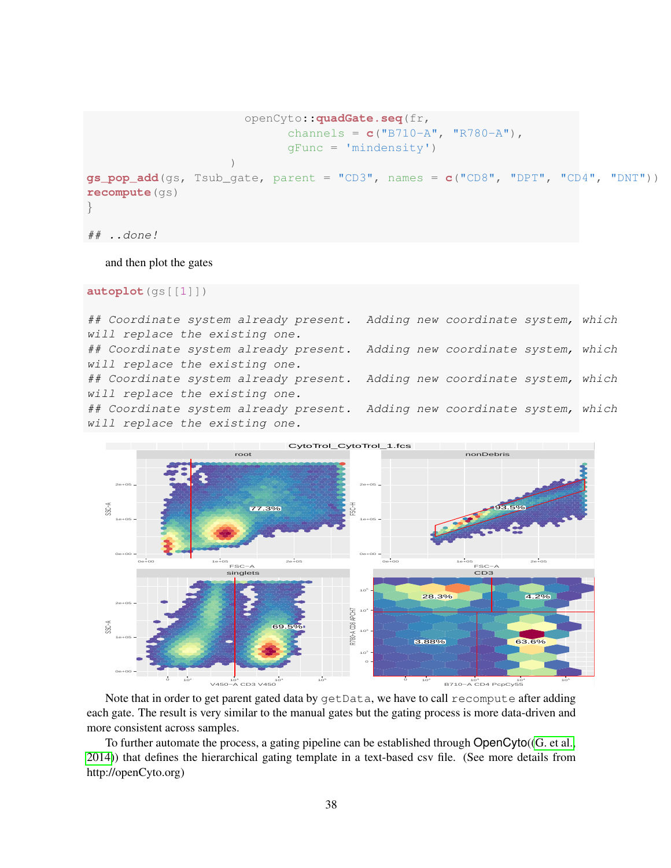```
openCyto::quadGate.seq(fr,
                            channels = c("B710-A", "R780-A"),
                            qFunc = 'mindensity'))
gs_pop_add(gs, Tsub_gate, parent = "CD3", names = c("CD8", "DPT", "CD4", "DNT"))
recompute(gs)
}
```
## ..done!

and then plot the gates

**autoplot**(gs[[1]])

## Coordinate system already present. Adding new coordinate system, which will replace the existing one. ## Coordinate system already present. Adding new coordinate system, which will replace the existing one. ## Coordinate system already present. Adding new coordinate system, which will replace the existing one. ## Coordinate system already present. Adding new coordinate system, which will replace the existing one.



Note that in order to get parent gated data by getData, we have to call recompute after adding each gate. The result is very similar to the manual gates but the gating process is more data-driven and more consistent across samples.

To further automate the process, a gating pipeline can be established through OpenCyto([\(G. et al.,](#page-38-12) [2014\)](#page-38-12)) that defines the hierarchical gating template in a text-based csv file. (See more details from http://openCyto.org)